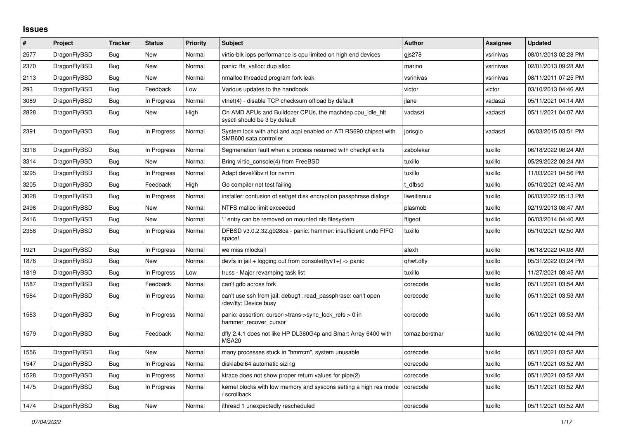## **Issues**

| $\#$ | <b>Project</b> | <b>Tracker</b> | <b>Status</b> | <b>Priority</b> | <b>Subject</b>                                                                             | <b>Author</b>  | <b>Assignee</b> | <b>Updated</b>      |
|------|----------------|----------------|---------------|-----------------|--------------------------------------------------------------------------------------------|----------------|-----------------|---------------------|
| 2577 | DragonFlyBSD   | Bug            | <b>New</b>    | Normal          | virtio-blk iops performance is cpu limited on high end devices                             | gis278         | vsrinivas       | 08/01/2013 02:28 PM |
| 2370 | DragonFlyBSD   | Bug            | <b>New</b>    | Normal          | panic: ffs valloc: dup alloc                                                               | marino         | vsrinivas       | 02/01/2013 09:28 AM |
| 2113 | DragonFlyBSD   | <b>Bug</b>     | New           | Normal          | nmalloc threaded program fork leak                                                         | vsrinivas      | vsrinivas       | 08/11/2011 07:25 PM |
| 293  | DragonFlyBSD   | <b>Bug</b>     | Feedback      | Low             | Various updates to the handbook                                                            | victor         | victor          | 03/10/2013 04:46 AM |
| 3089 | DragonFlyBSD   | Bug            | In Progress   | Normal          | vtnet(4) - disable TCP checksum offload by default                                         | jlane          | vadaszi         | 05/11/2021 04:14 AM |
| 2828 | DragonFlyBSD   | <b>Bug</b>     | New           | High            | On AMD APUs and Bulldozer CPUs, the machdep.cpu_idle_hlt<br>sysctl should be 3 by default  | vadaszi        | vadaszi         | 05/11/2021 04:07 AM |
| 2391 | DragonFlyBSD   | <b>Bug</b>     | In Progress   | Normal          | System lock with ahci and acpi enabled on ATI RS690 chipset with<br>SMB600 sata controller | jorisgio       | vadaszi         | 06/03/2015 03:51 PM |
| 3318 | DragonFlyBSD   | Bug            | In Progress   | Normal          | Segmenation fault when a process resumed with checkpt exits                                | zabolekar      | tuxillo         | 06/18/2022 08:24 AM |
| 3314 | DragonFlyBSD   | <b>Bug</b>     | New           | Normal          | Bring virtio_console(4) from FreeBSD                                                       | tuxillo        | tuxillo         | 05/29/2022 08:24 AM |
| 3295 | DragonFlyBSD   | Bug            | In Progress   | Normal          | Adapt devel/libvirt for nymm                                                               | tuxillo        | tuxillo         | 11/03/2021 04:56 PM |
| 3205 | DragonFlyBSD   | <b>Bug</b>     | Feedback      | High            | Go compiler net test failing                                                               | t dfbsd        | tuxillo         | 05/10/2021 02:45 AM |
| 3028 | DragonFlyBSD   | Bug            | In Progress   | Normal          | installer: confusion of set/get disk encryption passphrase dialogs                         | liweitianux    | tuxillo         | 06/03/2022 05:13 PM |
| 2496 | DragonFlyBSD   | <b>Bug</b>     | New           | Normal          | NTFS malloc limit exceeded                                                                 | plasmob        | tuxillo         | 02/19/2013 08:47 AM |
| 2416 | DragonFlyBSD   | Bug            | New           | Normal          | ".' entry can be removed on mounted nfs filesystem                                         | ftigeot        | tuxillo         | 06/03/2014 04:40 AM |
| 2358 | DragonFlyBSD   | Bug            | In Progress   | Normal          | DFBSD v3.0.2.32.g928ca - panic: hammer: insufficient undo FIFO<br>space!                   | tuxillo        | tuxillo         | 05/10/2021 02:50 AM |
| 1921 | DragonFlyBSD   | Bug            | In Progress   | Normal          | we miss mlockall                                                                           | alexh          | tuxillo         | 06/18/2022 04:08 AM |
| 1876 | DragonFlyBSD   | <b>Bug</b>     | <b>New</b>    | Normal          | devfs in jail + logging out from console(ttyv1+) -> panic                                  | qhwt.dfly      | tuxillo         | 05/31/2022 03:24 PM |
| 1819 | DragonFlyBSD   | Bug            | In Progress   | Low             | truss - Major revamping task list                                                          | tuxillo        | tuxillo         | 11/27/2021 08:45 AM |
| 1587 | DragonFlyBSD   | <b>Bug</b>     | Feedback      | Normal          | can't gdb across fork                                                                      | corecode       | tuxillo         | 05/11/2021 03:54 AM |
| 1584 | DragonFlyBSD   | Bug            | In Progress   | Normal          | can't use ssh from jail: debug1: read passphrase: can't open<br>/dev/tty: Device busy      | corecode       | tuxillo         | 05/11/2021 03:53 AM |
| 1583 | DragonFlyBSD   | Bug            | In Progress   | Normal          | panic: assertion: cursor->trans->sync_lock_refs > 0 in<br>hammer recover cursor            | corecode       | tuxillo         | 05/11/2021 03:53 AM |
| 1579 | DragonFlyBSD   | Bug            | Feedback      | Normal          | dfly 2.4.1 does not like HP DL360G4p and Smart Array 6400 with<br>MSA <sub>20</sub>        | tomaz.borstnar | tuxillo         | 06/02/2014 02:44 PM |
| 1556 | DragonFlyBSD   | <b>Bug</b>     | New           | Normal          | many processes stuck in "hmrrcm", system unusable                                          | corecode       | tuxillo         | 05/11/2021 03:52 AM |
| 1547 | DragonFlyBSD   | Bug            | In Progress   | Normal          | disklabel64 automatic sizing                                                               | corecode       | tuxillo         | 05/11/2021 03:52 AM |
| 1528 | DragonFlyBSD   | Bug            | In Progress   | Normal          | ktrace does not show proper return values for pipe(2)                                      | corecode       | tuxillo         | 05/11/2021 03:52 AM |
| 1475 | DragonFlyBSD   | <b>Bug</b>     | In Progress   | Normal          | kernel blocks with low memory and syscons setting a high res mode<br>/ scrollback          | corecode       | tuxillo         | 05/11/2021 03:52 AM |
| 1474 | DragonFlyBSD   | Bug            | <b>New</b>    | Normal          | ithread 1 unexpectedly rescheduled                                                         | corecode       | tuxillo         | 05/11/2021 03:52 AM |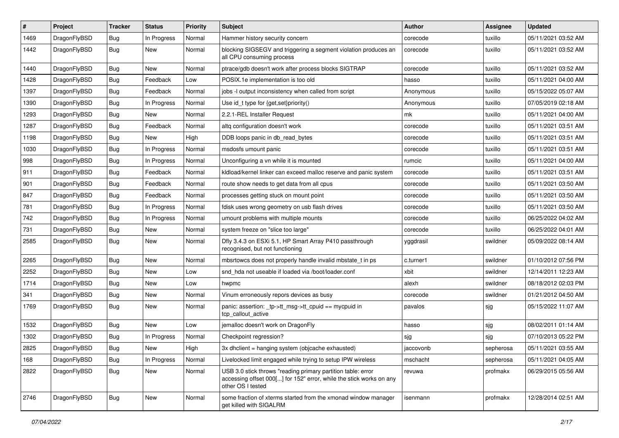| #    | Project      | <b>Tracker</b> | <b>Status</b> | <b>Priority</b> | Subject                                                                                                                                                  | <b>Author</b> | Assignee  | <b>Updated</b>      |
|------|--------------|----------------|---------------|-----------------|----------------------------------------------------------------------------------------------------------------------------------------------------------|---------------|-----------|---------------------|
| 1469 | DragonFlyBSD | <b>Bug</b>     | In Progress   | Normal          | Hammer history security concern                                                                                                                          | corecode      | tuxillo   | 05/11/2021 03:52 AM |
| 1442 | DragonFlyBSD | <b>Bug</b>     | New           | Normal          | blocking SIGSEGV and triggering a segment violation produces an<br>all CPU consuming process                                                             | corecode      | tuxillo   | 05/11/2021 03:52 AM |
| 1440 | DragonFlyBSD | <b>Bug</b>     | New           | Normal          | ptrace/gdb doesn't work after process blocks SIGTRAP                                                                                                     | corecode      | tuxillo   | 05/11/2021 03:52 AM |
| 1428 | DragonFlyBSD | <b>Bug</b>     | Feedback      | Low             | POSIX.1e implementation is too old                                                                                                                       | hasso         | tuxillo   | 05/11/2021 04:00 AM |
| 1397 | DragonFlyBSD | <b>Bug</b>     | Feedback      | Normal          | jobs -I output inconsistency when called from script                                                                                                     | Anonymous     | tuxillo   | 05/15/2022 05:07 AM |
| 1390 | DragonFlyBSD | <b>Bug</b>     | In Progress   | Normal          | Use id_t type for {get,set}priority()                                                                                                                    | Anonymous     | tuxillo   | 07/05/2019 02:18 AM |
| 1293 | DragonFlyBSD | <b>Bug</b>     | New           | Normal          | 2.2.1-REL Installer Request                                                                                                                              | mk            | tuxillo   | 05/11/2021 04:00 AM |
| 1287 | DragonFlyBSD | <b>Bug</b>     | Feedback      | Normal          | altq configuration doesn't work                                                                                                                          | corecode      | tuxillo   | 05/11/2021 03:51 AM |
| 1198 | DragonFlyBSD | <b>Bug</b>     | New           | High            | DDB loops panic in db read bytes                                                                                                                         | corecode      | tuxillo   | 05/11/2021 03:51 AM |
| 1030 | DragonFlyBSD | <b>Bug</b>     | In Progress   | Normal          | msdosfs umount panic                                                                                                                                     | corecode      | tuxillo   | 05/11/2021 03:51 AM |
| 998  | DragonFlyBSD | <b>Bug</b>     | In Progress   | Normal          | Unconfiguring a vn while it is mounted                                                                                                                   | rumcic        | tuxillo   | 05/11/2021 04:00 AM |
| 911  | DragonFlyBSD | <b>Bug</b>     | Feedback      | Normal          | kidload/kernel linker can exceed malloc reserve and panic system                                                                                         | corecode      | tuxillo   | 05/11/2021 03:51 AM |
| 901  | DragonFlyBSD | <b>Bug</b>     | Feedback      | Normal          | route show needs to get data from all cpus                                                                                                               | corecode      | tuxillo   | 05/11/2021 03:50 AM |
| 847  | DragonFlyBSD | <b>Bug</b>     | Feedback      | Normal          | processes getting stuck on mount point                                                                                                                   | corecode      | tuxillo   | 05/11/2021 03:50 AM |
| 781  | DragonFlyBSD | <b>Bug</b>     | In Progress   | Normal          | fdisk uses wrong geometry on usb flash drives                                                                                                            | corecode      | tuxillo   | 05/11/2021 03:50 AM |
| 742  | DragonFlyBSD | <b>Bug</b>     | In Progress   | Normal          | umount problems with multiple mounts                                                                                                                     | corecode      | tuxillo   | 06/25/2022 04:02 AM |
| 731  | DragonFlyBSD | <b>Bug</b>     | New           | Normal          | system freeze on "slice too large"                                                                                                                       | corecode      | tuxillo   | 06/25/2022 04:01 AM |
| 2585 | DragonFlyBSD | <b>Bug</b>     | New           | Normal          | Dfly 3.4.3 on ESXi 5.1, HP Smart Array P410 passthrough<br>recognised, but not functioning                                                               | yggdrasil     | swildner  | 05/09/2022 08:14 AM |
| 2265 | DragonFlyBSD | <b>Bug</b>     | New           | Normal          | mbsrtowcs does not properly handle invalid mbstate t in ps                                                                                               | c.turner1     | swildner  | 01/10/2012 07:56 PM |
| 2252 | DragonFlyBSD | <b>Bug</b>     | New           | Low             | snd hda not useable if loaded via /boot/loader.conf                                                                                                      | xbit          | swildner  | 12/14/2011 12:23 AM |
| 1714 | DragonFlyBSD | <b>Bug</b>     | New           | Low             | hwpmc                                                                                                                                                    | alexh         | swildner  | 08/18/2012 02:03 PM |
| 341  | DragonFlyBSD | <b>Bug</b>     | New           | Normal          | Vinum erroneously repors devices as busy                                                                                                                 | corecode      | swildner  | 01/21/2012 04:50 AM |
| 1769 | DragonFlyBSD | <b>Bug</b>     | New           | Normal          | panic: assertion: _tp->tt_msg->tt_cpuid == mycpuid in<br>tcp_callout_active                                                                              | pavalos       | sjg       | 05/15/2022 11:07 AM |
| 1532 | DragonFlyBSD | Bug            | <b>New</b>    | Low             | jemalloc doesn't work on DragonFly                                                                                                                       | hasso         | sjg       | 08/02/2011 01:14 AM |
| 1302 | DragonFlyBSD | <b>Bug</b>     | In Progress   | Normal          | Checkpoint regression?                                                                                                                                   | sjg           | sjg       | 07/10/2013 05:22 PM |
| 2825 | DragonFlyBSD | Bug            | <b>New</b>    | High            | 3x dhclient = hanging system (objcache exhausted)                                                                                                        | jaccovonb     | sepherosa | 05/11/2021 03:55 AM |
| 168  | DragonFlyBSD | <b>Bug</b>     | In Progress   | Normal          | Livelocked limit engaged while trying to setup IPW wireless                                                                                              | mschacht      | sepherosa | 05/11/2021 04:05 AM |
| 2822 | DragonFlyBSD | <b>Bug</b>     | New           | Normal          | USB 3.0 stick throws "reading primary partition table: error<br>accessing offset 000[] for 152" error, while the stick works on any<br>other OS I tested | revuwa        | profmakx  | 06/29/2015 05:56 AM |
| 2746 | DragonFlyBSD | <b>Bug</b>     | New           | Normal          | some fraction of xterms started from the xmonad window manager<br>get killed with SIGALRM                                                                | isenmann      | profmakx  | 12/28/2014 02:51 AM |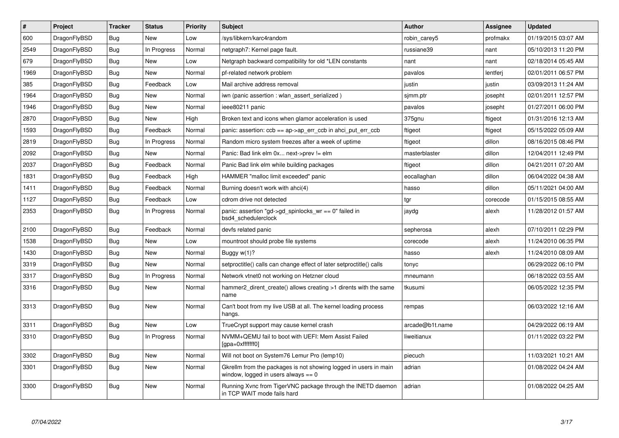| $\sharp$ | <b>Project</b> | <b>Tracker</b> | <b>Status</b> | <b>Priority</b> | <b>Subject</b>                                                                                            | <b>Author</b>   | Assignee | <b>Updated</b>      |
|----------|----------------|----------------|---------------|-----------------|-----------------------------------------------------------------------------------------------------------|-----------------|----------|---------------------|
| 600      | DragonFlyBSD   | <b>Bug</b>     | <b>New</b>    | Low             | sys/libkern/karc4random                                                                                   | robin carey5    | profmakx | 01/19/2015 03:07 AM |
| 2549     | DragonFlyBSD   | Bug            | In Progress   | Normal          | netgraph7: Kernel page fault.                                                                             | russiane39      | nant     | 05/10/2013 11:20 PM |
| 679      | DragonFlyBSD   | Bug            | <b>New</b>    | Low             | Netgraph backward compatibility for old *LEN constants                                                    | nant            | nant     | 02/18/2014 05:45 AM |
| 1969     | DragonFlyBSD   | <b>Bug</b>     | <b>New</b>    | Normal          | pf-related network problem                                                                                | pavalos         | lentferj | 02/01/2011 06:57 PM |
| 385      | DragonFlyBSD   | Bug            | Feedback      | Low             | Mail archive address removal                                                                              | justin          | justin   | 03/09/2013 11:24 AM |
| 1964     | DragonFlyBSD   | <b>Bug</b>     | <b>New</b>    | Normal          | iwn (panic assertion : wlan_assert_serialized)                                                            | simm.ptr        | josepht  | 02/01/2011 12:57 PM |
| 1946     | DragonFlyBSD   | Bug            | <b>New</b>    | Normal          | ieee80211 panic                                                                                           | pavalos         | josepht  | 01/27/2011 06:00 PM |
| 2870     | DragonFlyBSD   | Bug            | <b>New</b>    | High            | Broken text and icons when glamor acceleration is used                                                    | 375gnu          | ftigeot  | 01/31/2016 12:13 AM |
| 1593     | DragonFlyBSD   | <b>Bug</b>     | Feedback      | Normal          | panic: assertion: $ccb == ap > ap$ err $ccb$ in ahci put err $ccb$                                        | ftigeot         | ftigeot  | 05/15/2022 05:09 AM |
| 2819     | DragonFlyBSD   | Bug            | In Progress   | Normal          | Random micro system freezes after a week of uptime                                                        | ftigeot         | dillon   | 08/16/2015 08:46 PM |
| 2092     | DragonFlyBSD   | <b>Bug</b>     | <b>New</b>    | Normal          | Panic: Bad link elm 0x next->prev != elm                                                                  | masterblaster   | dillon   | 12/04/2011 12:49 PM |
| 2037     | DragonFlyBSD   | Bug            | Feedback      | Normal          | Panic Bad link elm while building packages                                                                | ftigeot         | dillon   | 04/21/2011 07:20 AM |
| 1831     | DragonFlyBSD   | Bug            | Feedback      | High            | HAMMER "malloc limit exceeded" panic                                                                      | eocallaghan     | dillon   | 06/04/2022 04:38 AM |
| 1411     | DragonFlyBSD   | Bug            | Feedback      | Normal          | Burning doesn't work with ahci(4)                                                                         | hasso           | dillon   | 05/11/2021 04:00 AM |
| 1127     | DragonFlyBSD   | Bug            | Feedback      | Low             | cdrom drive not detected                                                                                  | tgr             | corecode | 01/15/2015 08:55 AM |
| 2353     | DragonFlyBSD   | <b>Bug</b>     | In Progress   | Normal          | panic: assertion "gd->gd_spinlocks_wr == 0" failed in<br>bsd4 schedulerclock                              | jaydg           | alexh    | 11/28/2012 01:57 AM |
| 2100     | DragonFlyBSD   | Bug            | Feedback      | Normal          | devfs related panic                                                                                       | sepherosa       | alexh    | 07/10/2011 02:29 PM |
| 1538     | DragonFlyBSD   | <b>Bug</b>     | <b>New</b>    | Low             | mountroot should probe file systems                                                                       | corecode        | alexh    | 11/24/2010 06:35 PM |
| 1430     | DragonFlyBSD   | Bug            | New           | Normal          | Buggy $w(1)$ ?                                                                                            | hasso           | alexh    | 11/24/2010 08:09 AM |
| 3319     | DragonFlyBSD   | <b>Bug</b>     | <b>New</b>    | Normal          | setproctitle() calls can change effect of later setproctitle() calls                                      | tonyc           |          | 06/29/2022 06:10 PM |
| 3317     | DragonFlyBSD   | Bug            | In Progress   | Normal          | Network vtnet0 not working on Hetzner cloud                                                               | mneumann        |          | 06/18/2022 03:55 AM |
| 3316     | DragonFlyBSD   | <b>Bug</b>     | <b>New</b>    | Normal          | hammer2 dirent create() allows creating >1 dirents with the same<br>name                                  | tkusumi         |          | 06/05/2022 12:35 PM |
| 3313     | DragonFlyBSD   | <b>Bug</b>     | <b>New</b>    | Normal          | Can't boot from my live USB at all. The kernel loading process<br>hangs.                                  | rempas          |          | 06/03/2022 12:16 AM |
| 3311     | DragonFlyBSD   | Bug            | <b>New</b>    | Low             | TrueCrypt support may cause kernel crash                                                                  | arcade@b1t.name |          | 04/29/2022 06:19 AM |
| 3310     | DragonFlyBSD   | <b>Bug</b>     | In Progress   | Normal          | NVMM+QEMU fail to boot with UEFI: Mem Assist Failed<br>[gpa=0xfffffff0]                                   | liweitianux     |          | 01/11/2022 03:22 PM |
| 3302     | DragonFlyBSD   | <b>Bug</b>     | <b>New</b>    | Normal          | Will not boot on System76 Lemur Pro (lemp10)                                                              | piecuch         |          | 11/03/2021 10:21 AM |
| 3301     | DragonFlyBSD   | <b>Bug</b>     | <b>New</b>    | Normal          | Gkrellm from the packages is not showing logged in users in main<br>window, logged in users always $== 0$ | adrian          |          | 01/08/2022 04:24 AM |
| 3300     | DragonFlyBSD   | Bug            | <b>New</b>    | Normal          | Running Xvnc from TigerVNC package through the INETD daemon<br>in TCP WAIT mode fails hard                | adrian          |          | 01/08/2022 04:25 AM |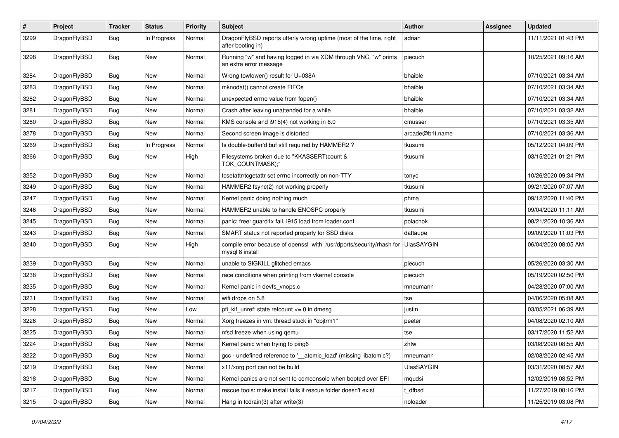| $\pmb{\#}$ | Project      | <b>Tracker</b> | <b>Status</b> | <b>Priority</b> | Subject                                                                                    | Author            | <b>Assignee</b> | <b>Updated</b>      |
|------------|--------------|----------------|---------------|-----------------|--------------------------------------------------------------------------------------------|-------------------|-----------------|---------------------|
| 3299       | DragonFlyBSD | Bug            | In Progress   | Normal          | DragonFlyBSD reports utterly wrong uptime (most of the time, right<br>after booting in)    | adrian            |                 | 11/11/2021 01:43 PM |
| 3298       | DragonFlyBSD | Bug            | <b>New</b>    | Normal          | Running "w" and having logged in via XDM through VNC, "w" prints<br>an extra error message | piecuch           |                 | 10/25/2021 09:16 AM |
| 3284       | DragonFlyBSD | <b>Bug</b>     | <b>New</b>    | Normal          | Wrong towlower() result for U+038A                                                         | bhaible           |                 | 07/10/2021 03:34 AM |
| 3283       | DragonFlyBSD | <b>Bug</b>     | New           | Normal          | mknodat() cannot create FIFOs                                                              | bhaible           |                 | 07/10/2021 03:34 AM |
| 3282       | DragonFlyBSD | Bug            | <b>New</b>    | Normal          | unexpected errno value from fopen()                                                        | bhaible           |                 | 07/10/2021 03:34 AM |
| 3281       | DragonFlyBSD | <b>Bug</b>     | New           | Normal          | Crash after leaving unattended for a while                                                 | bhaible           |                 | 07/10/2021 03:32 AM |
| 3280       | DragonFlyBSD | <b>Bug</b>     | New           | Normal          | KMS console and i915(4) not working in 6.0                                                 | cmusser           |                 | 07/10/2021 03:35 AM |
| 3278       | DragonFlyBSD | <b>Bug</b>     | New           | Normal          | Second screen image is distorted                                                           | arcade@b1t.name   |                 | 07/10/2021 03:36 AM |
| 3269       | DragonFlyBSD | <b>Bug</b>     | In Progress   | Normal          | Is double-buffer'd buf still required by HAMMER2?                                          | tkusumi           |                 | 05/12/2021 04:09 PM |
| 3266       | DragonFlyBSD | Bug            | <b>New</b>    | High            | Filesystems broken due to "KKASSERT(count &<br>TOK_COUNTMASK);"                            | tkusumi           |                 | 03/15/2021 01:21 PM |
| 3252       | DragonFlyBSD | <b>Bug</b>     | <b>New</b>    | Normal          | tcsetattr/tcgetattr set errno incorrectly on non-TTY                                       | tonyc             |                 | 10/26/2020 09:34 PM |
| 3249       | DragonFlyBSD | <b>Bug</b>     | <b>New</b>    | Normal          | HAMMER2 fsync(2) not working properly                                                      | tkusumi           |                 | 09/21/2020 07:07 AM |
| 3247       | DragonFlyBSD | <b>Bug</b>     | New           | Normal          | Kernel panic doing nothing much                                                            | phma              |                 | 09/12/2020 11:40 PM |
| 3246       | DragonFlyBSD | Bug            | New           | Normal          | HAMMER2 unable to handle ENOSPC properly                                                   | tkusumi           |                 | 09/04/2020 11:11 AM |
| 3245       | DragonFlyBSD | <b>Bug</b>     | <b>New</b>    | Normal          | panic: free: guard1x fail, i915 load from loader.conf                                      | polachok          |                 | 08/21/2020 10:36 AM |
| 3243       | DragonFlyBSD | <b>Bug</b>     | New           | Normal          | SMART status not reported properly for SSD disks                                           | daftaupe          |                 | 09/09/2020 11:03 PM |
| 3240       | DragonFlyBSD | Bug            | <b>New</b>    | High            | compile error because of openssl with /usr/dports/security/rhash for<br>mysql 8 install    | <b>UlasSAYGIN</b> |                 | 06/04/2020 08:05 AM |
| 3239       | DragonFlyBSD | <b>Bug</b>     | New           | Normal          | unable to SIGKILL glitched emacs                                                           | piecuch           |                 | 05/26/2020 03:30 AM |
| 3238       | DragonFlyBSD | <b>Bug</b>     | <b>New</b>    | Normal          | race conditions when printing from vkernel console                                         | piecuch           |                 | 05/19/2020 02:50 PM |
| 3235       | DragonFlyBSD | <b>Bug</b>     | New           | Normal          | Kernel panic in devfs_vnops.c                                                              | mneumann          |                 | 04/28/2020 07:00 AM |
| 3231       | DragonFlyBSD | Bug            | New           | Normal          | wifi drops on 5.8                                                                          | tse               |                 | 04/06/2020 05:08 AM |
| 3228       | DragonFlyBSD | <b>Bug</b>     | New           | Low             | pfi_kif_unref: state refcount <= 0 in dmesg                                                | justin            |                 | 03/05/2021 06:39 AM |
| 3226       | DragonFlyBSD | <b>Bug</b>     | New           | Normal          | Xorg freezes in vm: thread stuck in "objtrm1"                                              | peeter            |                 | 04/08/2020 02:10 AM |
| 3225       | DragonFlyBSD | <b>Bug</b>     | <b>New</b>    | Normal          | nfsd freeze when using gemu                                                                | tse               |                 | 03/17/2020 11:52 AM |
| 3224       | DragonFlyBSD | Bug            | New           | Normal          | Kernel panic when trying to ping6                                                          | zhtw              |                 | 03/08/2020 08:55 AM |
| 3222       | DragonFlyBSD | i Bug          | New           | Normal          | gcc - undefined reference to '__atomic_load' (missing libatomic?)                          | mneumann          |                 | 02/08/2020 02:45 AM |
| 3219       | DragonFlyBSD | Bug            | New           | Normal          | x11/xorg port can not be build                                                             | UlasSAYGIN        |                 | 03/31/2020 08:57 AM |
| 3218       | DragonFlyBSD | <b>Bug</b>     | New           | Normal          | Kernel panics are not sent to comconsole when booted over EFI                              | mqudsi            |                 | 12/02/2019 08:52 PM |
| 3217       | DragonFlyBSD | <b>Bug</b>     | New           | Normal          | rescue tools: make install fails if rescue folder doesn't exist                            | t_dfbsd           |                 | 11/27/2019 08:16 PM |
| 3215       | DragonFlyBSD | <b>Bug</b>     | New           | Normal          | Hang in tcdrain(3) after write(3)                                                          | noloader          |                 | 11/25/2019 03:08 PM |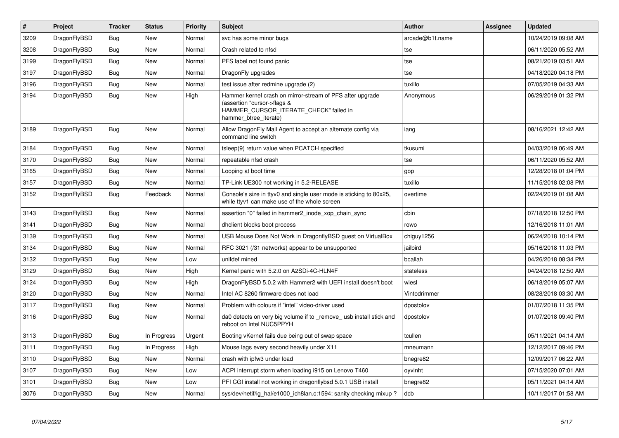| $\vert$ # | Project      | <b>Tracker</b> | <b>Status</b> | <b>Priority</b> | Subject                                                                                                                                                     | <b>Author</b>   | Assignee | <b>Updated</b>      |
|-----------|--------------|----------------|---------------|-----------------|-------------------------------------------------------------------------------------------------------------------------------------------------------------|-----------------|----------|---------------------|
| 3209      | DragonFlyBSD | <b>Bug</b>     | <b>New</b>    | Normal          | svc has some minor bugs                                                                                                                                     | arcade@b1t.name |          | 10/24/2019 09:08 AM |
| 3208      | DragonFlyBSD | Bug            | <b>New</b>    | Normal          | Crash related to nfsd                                                                                                                                       | tse             |          | 06/11/2020 05:52 AM |
| 3199      | DragonFlyBSD | <b>Bug</b>     | <b>New</b>    | Normal          | PFS label not found panic                                                                                                                                   | tse             |          | 08/21/2019 03:51 AM |
| 3197      | DragonFlyBSD | <b>Bug</b>     | <b>New</b>    | Normal          | DragonFly upgrades                                                                                                                                          | tse             |          | 04/18/2020 04:18 PM |
| 3196      | DragonFlyBSD | Bug            | <b>New</b>    | Normal          | test issue after redmine upgrade (2)                                                                                                                        | tuxillo         |          | 07/05/2019 04:33 AM |
| 3194      | DragonFlyBSD | <b>Bug</b>     | <b>New</b>    | High            | Hammer kernel crash on mirror-stream of PFS after upgrade<br>(assertion "cursor->flags &<br>HAMMER_CURSOR_ITERATE_CHECK" failed in<br>hammer btree iterate) | Anonymous       |          | 06/29/2019 01:32 PM |
| 3189      | DragonFlyBSD | Bug            | <b>New</b>    | Normal          | Allow DragonFly Mail Agent to accept an alternate config via<br>command line switch                                                                         | iang            |          | 08/16/2021 12:42 AM |
| 3184      | DragonFlyBSD | <b>Bug</b>     | <b>New</b>    | Normal          | tsleep(9) return value when PCATCH specified                                                                                                                | tkusumi         |          | 04/03/2019 06:49 AM |
| 3170      | DragonFlyBSD | Bug            | <b>New</b>    | Normal          | repeatable nfsd crash                                                                                                                                       | tse             |          | 06/11/2020 05:52 AM |
| 3165      | DragonFlyBSD | <b>Bug</b>     | New           | Normal          | Looping at boot time                                                                                                                                        | gop             |          | 12/28/2018 01:04 PM |
| 3157      | DragonFlyBSD | Bug            | <b>New</b>    | Normal          | TP-Link UE300 not working in 5.2-RELEASE                                                                                                                    | tuxillo         |          | 11/15/2018 02:08 PM |
| 3152      | DragonFlyBSD | <b>Bug</b>     | Feedback      | Normal          | Console's size in ttyv0 and single user mode is sticking to 80x25,<br>while ttyv1 can make use of the whole screen                                          | overtime        |          | 02/24/2019 01:08 AM |
| 3143      | DragonFlyBSD | Bug            | <b>New</b>    | Normal          | assertion "0" failed in hammer2 inode xop chain sync                                                                                                        | cbin            |          | 07/18/2018 12:50 PM |
| 3141      | DragonFlyBSD | <b>Bug</b>     | <b>New</b>    | Normal          | dhclient blocks boot process                                                                                                                                | rowo            |          | 12/16/2018 11:01 AM |
| 3139      | DragonFlyBSD | Bug            | <b>New</b>    | Normal          | USB Mouse Does Not Work in DragonflyBSD guest on VirtualBox                                                                                                 | chiguy1256      |          | 06/24/2018 10:14 PM |
| 3134      | DragonFlyBSD | <b>Bug</b>     | <b>New</b>    | Normal          | RFC 3021 (/31 networks) appear to be unsupported                                                                                                            | jailbird        |          | 05/16/2018 11:03 PM |
| 3132      | DragonFlyBSD | Bug            | <b>New</b>    | Low             | unifdef mined                                                                                                                                               | bcallah         |          | 04/26/2018 08:34 PM |
| 3129      | DragonFlyBSD | <b>Bug</b>     | <b>New</b>    | High            | Kernel panic with 5.2.0 on A2SDi-4C-HLN4F                                                                                                                   | stateless       |          | 04/24/2018 12:50 AM |
| 3124      | DragonFlyBSD | <b>Bug</b>     | <b>New</b>    | High            | DragonFlyBSD 5.0.2 with Hammer2 with UEFI install doesn't boot                                                                                              | wiesl           |          | 06/18/2019 05:07 AM |
| 3120      | DragonFlyBSD | Bug            | <b>New</b>    | Normal          | Intel AC 8260 firmware does not load                                                                                                                        | Vintodrimmer    |          | 08/28/2018 03:30 AM |
| 3117      | DragonFlyBSD | <b>Bug</b>     | <b>New</b>    | Normal          | Problem with colours if "intel" video-driver used                                                                                                           | dpostolov       |          | 01/07/2018 11:35 PM |
| 3116      | DragonFlyBSD | Bug            | <b>New</b>    | Normal          | da0 detects on very big volume if to remove usb install stick and<br>reboot on Intel NUC5PPYH                                                               | dpostolov       |          | 01/07/2018 09:40 PM |
| 3113      | DragonFlyBSD | Bug            | In Progress   | Urgent          | Booting vKernel fails due being out of swap space                                                                                                           | tcullen         |          | 05/11/2021 04:14 AM |
| 3111      | DragonFlyBSD | <b>Bug</b>     | In Progress   | High            | Mouse lags every second heavily under X11                                                                                                                   | mneumann        |          | 12/12/2017 09:46 PM |
| 3110      | DragonFlyBSD | Bug            | <b>New</b>    | Normal          | crash with ipfw3 under load                                                                                                                                 | bnegre82        |          | 12/09/2017 06:22 AM |
| 3107      | DragonFlyBSD | <b>Bug</b>     | <b>New</b>    | Low             | ACPI interrupt storm when loading i915 on Lenovo T460                                                                                                       | oyvinht         |          | 07/15/2020 07:01 AM |
| 3101      | DragonFlyBSD | Bug            | <b>New</b>    | Low             | PFI CGI install not working in dragonflybsd 5.0.1 USB install                                                                                               | bnegre82        |          | 05/11/2021 04:14 AM |
| 3076      | DragonFlyBSD | Bug            | <b>New</b>    | Normal          | sys/dev/netif/ig_hal/e1000_ich8lan.c:1594: sanity checking mixup?                                                                                           | dcb             |          | 10/11/2017 01:58 AM |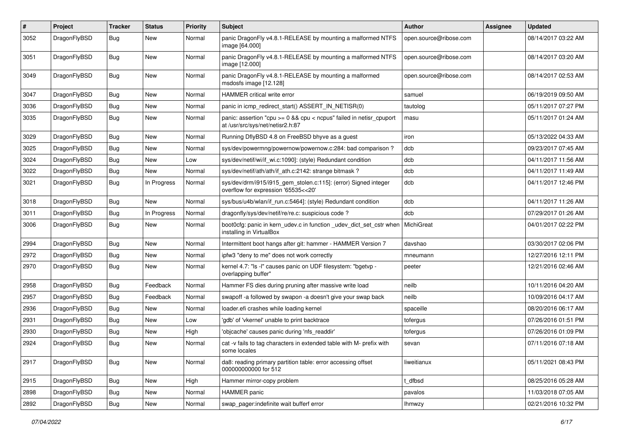| #    | Project      | <b>Tracker</b> | <b>Status</b> | <b>Priority</b> | Subject                                                                                                 | Author                 | Assignee | <b>Updated</b>      |
|------|--------------|----------------|---------------|-----------------|---------------------------------------------------------------------------------------------------------|------------------------|----------|---------------------|
| 3052 | DragonFlyBSD | <b>Bug</b>     | <b>New</b>    | Normal          | panic DragonFly v4.8.1-RELEASE by mounting a malformed NTFS<br>image [64.000]                           | open.source@ribose.com |          | 08/14/2017 03:22 AM |
| 3051 | DragonFlyBSD | <b>Bug</b>     | <b>New</b>    | Normal          | panic DragonFly v4.8.1-RELEASE by mounting a malformed NTFS<br>image [12.000]                           | open.source@ribose.com |          | 08/14/2017 03:20 AM |
| 3049 | DragonFlyBSD | Bug            | <b>New</b>    | Normal          | panic DragonFly v4.8.1-RELEASE by mounting a malformed<br>msdosfs image [12.128]                        | open.source@ribose.com |          | 08/14/2017 02:53 AM |
| 3047 | DragonFlyBSD | <b>Bug</b>     | New           | Normal          | HAMMER critical write error                                                                             | samuel                 |          | 06/19/2019 09:50 AM |
| 3036 | DragonFlyBSD | Bug            | New           | Normal          | panic in icmp redirect start() ASSERT IN NETISR(0)                                                      | tautolog               |          | 05/11/2017 07:27 PM |
| 3035 | DragonFlyBSD | <b>Bug</b>     | New           | Normal          | panic: assertion "cpu >= 0 && cpu < ncpus" failed in netisr_cpuport<br>at /usr/src/sys/net/netisr2.h:87 | masu                   |          | 05/11/2017 01:24 AM |
| 3029 | DragonFlyBSD | <b>Bug</b>     | New           | Normal          | Running DflyBSD 4.8 on FreeBSD bhyve as a guest                                                         | iron                   |          | 05/13/2022 04:33 AM |
| 3025 | DragonFlyBSD | <b>Bug</b>     | New           | Normal          | sys/dev/powermng/powernow/powernow.c:284: bad comparison?                                               | dcb                    |          | 09/23/2017 07:45 AM |
| 3024 | DragonFlyBSD | Bug            | <b>New</b>    | Low             | sys/dev/netif/wi/if_wi.c:1090]: (style) Redundant condition                                             | dcb                    |          | 04/11/2017 11:56 AM |
| 3022 | DragonFlyBSD | Bug            | New           | Normal          | sys/dev/netif/ath/ath/if ath.c:2142: strange bitmask?                                                   | dcb                    |          | 04/11/2017 11:49 AM |
| 3021 | DragonFlyBSD | <b>Bug</b>     | In Progress   | Normal          | sys/dev/drm/i915/i915_gem_stolen.c:115]: (error) Signed integer<br>overflow for expression '65535<<20'  | dcb                    |          | 04/11/2017 12:46 PM |
| 3018 | DragonFlyBSD | Bug            | <b>New</b>    | Normal          | sys/bus/u4b/wlan/if_run.c:5464]: (style) Redundant condition                                            | dcb                    |          | 04/11/2017 11:26 AM |
| 3011 | DragonFlyBSD | <b>Bug</b>     | In Progress   | Normal          | dragonfly/sys/dev/netif/re/re.c: suspicious code ?                                                      | dcb                    |          | 07/29/2017 01:26 AM |
| 3006 | DragonFlyBSD | <b>Bug</b>     | <b>New</b>    | Normal          | boot0cfg: panic in kern_udev.c in function _udev_dict_set_cstr when<br>installing in VirtualBox         | MichiGreat             |          | 04/01/2017 02:22 PM |
| 2994 | DragonFlyBSD | Bug            | <b>New</b>    | Normal          | Intermittent boot hangs after git: hammer - HAMMER Version 7                                            | davshao                |          | 03/30/2017 02:06 PM |
| 2972 | DragonFlyBSD | Bug            | New           | Normal          | ipfw3 "deny to me" does not work correctly                                                              | mneumann               |          | 12/27/2016 12:11 PM |
| 2970 | DragonFlyBSD | <b>Bug</b>     | <b>New</b>    | Normal          | kernel 4.7: "Is -I" causes panic on UDF filesystem: "bgetvp -<br>overlapping buffer"                    | peeter                 |          | 12/21/2016 02:46 AM |
| 2958 | DragonFlyBSD | Bug            | Feedback      | Normal          | Hammer FS dies during pruning after massive write load                                                  | neilb                  |          | 10/11/2016 04:20 AM |
| 2957 | DragonFlyBSD | <b>Bug</b>     | Feedback      | Normal          | swapoff -a followed by swapon -a doesn't give your swap back                                            | neilb                  |          | 10/09/2016 04:17 AM |
| 2936 | DragonFlyBSD | Bug            | New           | Normal          | loader.efi crashes while loading kernel                                                                 | spaceille              |          | 08/20/2016 06:17 AM |
| 2931 | DragonFlyBSD | <b>Bug</b>     | New           | Low             | 'gdb' of 'vkernel' unable to print backtrace                                                            | tofergus               |          | 07/26/2016 01:51 PM |
| 2930 | DragonFlyBSD | <b>Bug</b>     | <b>New</b>    | High            | 'objcache' causes panic during 'nfs_readdir'                                                            | tofergus               |          | 07/26/2016 01:09 PM |
| 2924 | DragonFlyBSD | <b>Bug</b>     | New           | Normal          | cat -v fails to tag characters in extended table with M- prefix with<br>some locales                    | sevan                  |          | 07/11/2016 07:18 AM |
| 2917 | DragonFlyBSD | <b>Bug</b>     | <b>New</b>    | Normal          | da8: reading primary partition table: error accessing offset<br>000000000000 for 512                    | liweitianux            |          | 05/11/2021 08:43 PM |
| 2915 | DragonFlyBSD | Bug            | New           | High            | Hammer mirror-copy problem                                                                              | t_dfbsd                |          | 08/25/2016 05:28 AM |
| 2898 | DragonFlyBSD | <b>Bug</b>     | New           | Normal          | HAMMER panic                                                                                            | pavalos                |          | 11/03/2018 07:05 AM |
| 2892 | DragonFlyBSD | <b>Bug</b>     | New           | Normal          | swap_pager:indefinite wait bufferf error                                                                | <b>Ihmwzy</b>          |          | 02/21/2016 10:32 PM |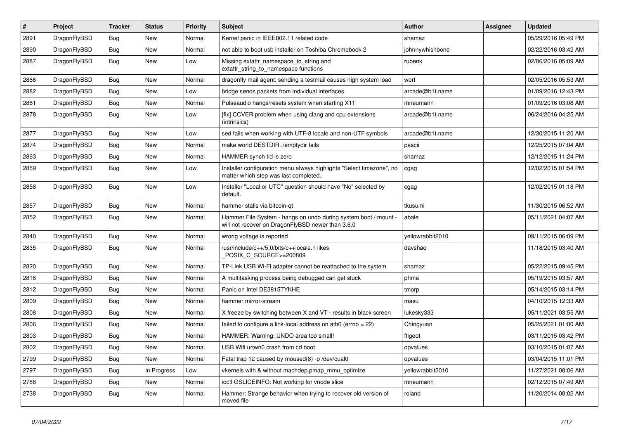| $\sharp$ | Project      | <b>Tracker</b> | <b>Status</b> | <b>Priority</b> | Subject                                                                                                              | <b>Author</b>    | Assignee | <b>Updated</b>      |
|----------|--------------|----------------|---------------|-----------------|----------------------------------------------------------------------------------------------------------------------|------------------|----------|---------------------|
| 2891     | DragonFlyBSD | Bug            | New           | Normal          | Kernel panic in IEEE802.11 related code                                                                              | shamaz           |          | 05/29/2016 05:49 PM |
| 2890     | DragonFlyBSD | Bug            | New           | Normal          | not able to boot usb installer on Toshiba Chromebook 2                                                               | johnnywhishbone  |          | 02/22/2016 03:42 AM |
| 2887     | DragonFlyBSD | Bug            | New           | Low             | Missing extattr_namespace_to_string and<br>extattr_string_to_namespace functions                                     | rubenk           |          | 02/06/2016 05:09 AM |
| 2886     | DragonFlyBSD | Bug            | <b>New</b>    | Normal          | dragonfly mail agent: sending a testmail causes high system load                                                     | worf             |          | 02/05/2016 05:53 AM |
| 2882     | DragonFlyBSD | Bug            | New           | Low             | bridge sends packets from individual interfaces                                                                      | arcade@b1t.name  |          | 01/09/2016 12:43 PM |
| 2881     | DragonFlyBSD | Bug            | New           | Normal          | Pulseaudio hangs/resets system when starting X11                                                                     | mneumann         |          | 01/09/2016 03:08 AM |
| 2878     | DragonFlyBSD | Bug            | <b>New</b>    | Low             | [fix] CCVER problem when using clang and cpu extensions<br>(intrinsics)                                              | arcade@b1t.name  |          | 06/24/2016 04:25 AM |
| 2877     | DragonFlyBSD | Bug            | New           | Low             | sed fails when working with UTF-8 locale and non-UTF symbols                                                         | arcade@b1t.name  |          | 12/30/2015 11:20 AM |
| 2874     | DragonFlyBSD | Bug            | New           | Normal          | make world DESTDIR=/emptydir fails                                                                                   | pascii           |          | 12/25/2015 07:04 AM |
| 2863     | DragonFlyBSD | Bug            | New           | Normal          | HAMMER synch tid is zero                                                                                             | shamaz           |          | 12/12/2015 11:24 PM |
| 2859     | DragonFlyBSD | Bug            | New           | Low             | Installer configuration menu always highlights "Select timezone", no<br>matter which step was last completed.        | cgag             |          | 12/02/2015 01:54 PM |
| 2858     | DragonFlyBSD | Bug            | New           | Low             | Installer "Local or UTC" question should have "No" selected by<br>default.                                           | cgag             |          | 12/02/2015 01:18 PM |
| 2857     | DragonFlyBSD | Bug            | <b>New</b>    | Normal          | hammer stalls via bitcoin-qt                                                                                         | tkusumi          |          | 11/30/2015 06:52 AM |
| 2852     | DragonFlyBSD | Bug            | New           | Normal          | Hammer File System - hangs on undo during system boot / mount -<br>will not recover on DragonFlyBSD newer than 3.6.0 | abale            |          | 05/11/2021 04:07 AM |
| 2840     | DragonFlyBSD | Bug            | <b>New</b>    | Normal          | wrong voltage is reported                                                                                            | yellowrabbit2010 |          | 09/11/2015 06:09 PM |
| 2835     | DragonFlyBSD | Bug            | New           | Normal          | /usr/include/c++/5.0/bits/c++locale.h likes<br>POSIX_C_SOURCE>=200809                                                | davshao          |          | 11/18/2015 03:40 AM |
| 2820     | DragonFlyBSD | Bug            | <b>New</b>    | Normal          | TP-Link USB Wi-Fi adapter cannot be reattached to the system                                                         | shamaz           |          | 05/22/2015 09:45 PM |
| 2816     | DragonFlyBSD | Bug            | <b>New</b>    | Normal          | A multitasking process being debugged can get stuck                                                                  | phma             |          | 05/19/2015 03:57 AM |
| 2812     | DragonFlyBSD | Bug            | <b>New</b>    | Normal          | Panic on Intel DE3815TYKHE                                                                                           | tmorp            |          | 05/14/2015 03:14 PM |
| 2809     | DragonFlyBSD | Bug            | New           | Normal          | hammer mirror-stream                                                                                                 | masu             |          | 04/10/2015 12:33 AM |
| 2808     | DragonFlyBSD | <b>Bug</b>     | <b>New</b>    | Normal          | X freeze by switching between X and VT - results in black screen                                                     | lukesky333       |          | 05/11/2021 03:55 AM |
| 2806     | DragonFlyBSD | <b>Bug</b>     | New           | Normal          | failed to configure a link-local address on ath0 (errno = 22)                                                        | Chingyuan        |          | 05/25/2021 01:00 AM |
| 2803     | DragonFlyBSD | <b>Bug</b>     | <b>New</b>    | Normal          | HAMMER: Warning: UNDO area too small!                                                                                | ftigeot          |          | 03/11/2015 03:42 PM |
| 2802     | DragonFlvBSD | Bug            | <b>New</b>    | Normal          | USB Wifi urtwn0 crash from cd boot                                                                                   | opvalues         |          | 03/10/2015 01:07 AM |
| 2799     | DragonFlyBSD | Bug            | New           | Normal          | Fatal trap 12 caused by moused(8) -p /dev/cual0                                                                      | opvalues         |          | 03/04/2015 11:01 PM |
| 2797     | DragonFlyBSD | Bug            | In Progress   | Low             | vkernels with & without machdep.pmap mmu optimize                                                                    | yellowrabbit2010 |          | 11/27/2021 08:06 AM |
| 2788     | DragonFlyBSD | <b>Bug</b>     | <b>New</b>    | Normal          | ioctl GSLICEINFO: Not working for vnode slice                                                                        | mneumann         |          | 02/12/2015 07:49 AM |
| 2738     | DragonFlyBSD | <b>Bug</b>     | New           | Normal          | Hammer: Strange behavior when trying to recover old version of<br>moved file                                         | roland           |          | 11/20/2014 08:02 AM |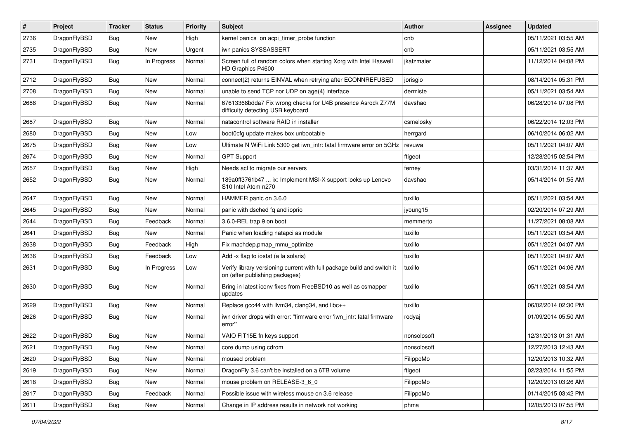| $\sharp$ | Project      | <b>Tracker</b> | <b>Status</b> | <b>Priority</b> | Subject                                                                                                   | <b>Author</b> | Assignee | <b>Updated</b>      |
|----------|--------------|----------------|---------------|-----------------|-----------------------------------------------------------------------------------------------------------|---------------|----------|---------------------|
| 2736     | DragonFlyBSD | <b>Bug</b>     | <b>New</b>    | High            | kernel panics on acpi_timer_probe function                                                                | cnb           |          | 05/11/2021 03:55 AM |
| 2735     | DragonFlyBSD | Bug            | New           | Urgent          | iwn panics SYSSASSERT                                                                                     | cnb           |          | 05/11/2021 03:55 AM |
| 2731     | DragonFlyBSD | Bug            | In Progress   | Normal          | Screen full of random colors when starting Xorg with Intel Haswell<br>HD Graphics P4600                   | jkatzmaier    |          | 11/12/2014 04:08 PM |
| 2712     | DragonFlyBSD | Bug            | <b>New</b>    | Normal          | connect(2) returns EINVAL when retrying after ECONNREFUSED                                                | jorisgio      |          | 08/14/2014 05:31 PM |
| 2708     | DragonFlyBSD | <b>Bug</b>     | <b>New</b>    | Normal          | unable to send TCP nor UDP on age(4) interface                                                            | dermiste      |          | 05/11/2021 03:54 AM |
| 2688     | DragonFlyBSD | <b>Bug</b>     | <b>New</b>    | Normal          | 67613368bdda7 Fix wrong checks for U4B presence Asrock Z77M<br>difficulty detecting USB keyboard          | davshao       |          | 06/28/2014 07:08 PM |
| 2687     | DragonFlyBSD | Bug            | <b>New</b>    | Normal          | natacontrol software RAID in installer                                                                    | csmelosky     |          | 06/22/2014 12:03 PM |
| 2680     | DragonFlyBSD | Bug            | <b>New</b>    | Low             | boot0cfg update makes box unbootable                                                                      | herrgard      |          | 06/10/2014 06:02 AM |
| 2675     | DragonFlyBSD | <b>Bug</b>     | <b>New</b>    | Low             | Ultimate N WiFi Link 5300 get iwn_intr: fatal firmware error on 5GHz                                      | revuwa        |          | 05/11/2021 04:07 AM |
| 2674     | DragonFlyBSD | <b>Bug</b>     | <b>New</b>    | Normal          | <b>GPT Support</b>                                                                                        | ftigeot       |          | 12/28/2015 02:54 PM |
| 2657     | DragonFlyBSD | <b>Bug</b>     | <b>New</b>    | High            | Needs acl to migrate our servers                                                                          | ferney        |          | 03/31/2014 11:37 AM |
| 2652     | DragonFlyBSD | <b>Bug</b>     | New           | Normal          | 189a0ff3761b47  ix: Implement MSI-X support locks up Lenovo<br>S10 Intel Atom n270                        | davshao       |          | 05/14/2014 01:55 AM |
| 2647     | DragonFlyBSD | Bug            | <b>New</b>    | Normal          | HAMMER panic on 3.6.0                                                                                     | tuxillo       |          | 05/11/2021 03:54 AM |
| 2645     | DragonFlyBSD | <b>Bug</b>     | New           | Normal          | panic with dsched fq and ioprio                                                                           | jyoung15      |          | 02/20/2014 07:29 AM |
| 2644     | DragonFlyBSD | Bug            | Feedback      | Normal          | 3.6.0-REL trap 9 on boot                                                                                  | memmerto      |          | 11/27/2021 08:08 AM |
| 2641     | DragonFlyBSD | <b>Bug</b>     | New           | Normal          | Panic when loading natapci as module                                                                      | tuxillo       |          | 05/11/2021 03:54 AM |
| 2638     | DragonFlyBSD | Bug            | Feedback      | High            | Fix machdep.pmap_mmu_optimize                                                                             | tuxillo       |          | 05/11/2021 04:07 AM |
| 2636     | DragonFlyBSD | <b>Bug</b>     | Feedback      | Low             | Add -x flag to iostat (a la solaris)                                                                      | tuxillo       |          | 05/11/2021 04:07 AM |
| 2631     | DragonFlyBSD | <b>Bug</b>     | In Progress   | Low             | Verify library versioning current with full package build and switch it<br>on (after publishing packages) | tuxillo       |          | 05/11/2021 04:06 AM |
| 2630     | DragonFlyBSD | Bug            | New           | Normal          | Bring in latest iconv fixes from FreeBSD10 as well as csmapper<br>updates                                 | tuxillo       |          | 05/11/2021 03:54 AM |
| 2629     | DragonFlyBSD | Bug            | New           | Normal          | Replace gcc44 with llvm34, clang34, and libc++                                                            | tuxillo       |          | 06/02/2014 02:30 PM |
| 2626     | DragonFlyBSD | <b>Bug</b>     | New           | Normal          | iwn driver drops with error: "firmware error 'iwn_intr: fatal firmware<br>error"                          | rodyaj        |          | 01/09/2014 05:50 AM |
| 2622     | DragonFlyBSD | Bug            | <b>New</b>    | Normal          | VAIO FIT15E fn keys support                                                                               | nonsolosoft   |          | 12/31/2013 01:31 AM |
| 2621     | DragonFlyBSD | Bug            | <b>New</b>    | Normal          | core dump using cdrom                                                                                     | nonsolosoft   |          | 12/27/2013 12:43 AM |
| 2620     | DragonFlyBSD | Bug            | New           | Normal          | moused problem                                                                                            | FilippoMo     |          | 12/20/2013 10:32 AM |
| 2619     | DragonFlyBSD | Bug            | New           | Normal          | DragonFly 3.6 can't be installed on a 6TB volume                                                          | ftigeot       |          | 02/23/2014 11:55 PM |
| 2618     | DragonFlyBSD | <b>Bug</b>     | New           | Normal          | mouse problem on RELEASE-3_6_0                                                                            | FilippoMo     |          | 12/20/2013 03:26 AM |
| 2617     | DragonFlyBSD | Bug            | Feedback      | Normal          | Possible issue with wireless mouse on 3.6 release                                                         | FilippoMo     |          | 01/14/2015 03:42 PM |
| 2611     | DragonFlyBSD | <b>Bug</b>     | New           | Normal          | Change in IP address results in network not working                                                       | phma          |          | 12/05/2013 07:55 PM |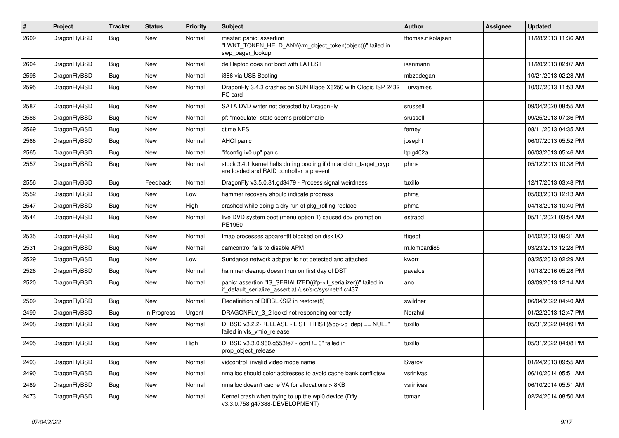| #    | Project      | <b>Tracker</b> | <b>Status</b> | <b>Priority</b> | Subject                                                                                                                      | <b>Author</b>     | Assignee | <b>Updated</b>      |
|------|--------------|----------------|---------------|-----------------|------------------------------------------------------------------------------------------------------------------------------|-------------------|----------|---------------------|
| 2609 | DragonFlyBSD | Bug            | New           | Normal          | master: panic: assertion<br>"LWKT_TOKEN_HELD_ANY(vm_object_token(object))" failed in<br>swp pager lookup                     | thomas.nikolajsen |          | 11/28/2013 11:36 AM |
| 2604 | DragonFlyBSD | Bug            | <b>New</b>    | Normal          | dell laptop does not boot with LATEST                                                                                        | isenmann          |          | 11/20/2013 02:07 AM |
| 2598 | DragonFlyBSD | Bug            | <b>New</b>    | Normal          | i386 via USB Booting                                                                                                         | mbzadegan         |          | 10/21/2013 02:28 AM |
| 2595 | DragonFlyBSD | <b>Bug</b>     | <b>New</b>    | Normal          | DragonFly 3.4.3 crashes on SUN Blade X6250 with Qlogic ISP 2432<br>FC card                                                   | Turvamies         |          | 10/07/2013 11:53 AM |
| 2587 | DragonFlyBSD | <b>Bug</b>     | <b>New</b>    | Normal          | SATA DVD writer not detected by DragonFly                                                                                    | srussell          |          | 09/04/2020 08:55 AM |
| 2586 | DragonFlyBSD | <b>Bug</b>     | <b>New</b>    | Normal          | pf: "modulate" state seems problematic                                                                                       | srussell          |          | 09/25/2013 07:36 PM |
| 2569 | DragonFlyBSD | <b>Bug</b>     | <b>New</b>    | Normal          | ctime NFS                                                                                                                    | ferney            |          | 08/11/2013 04:35 AM |
| 2568 | DragonFlyBSD | <b>Bug</b>     | <b>New</b>    | Normal          | AHCI panic                                                                                                                   | josepht           |          | 06/07/2013 05:52 PM |
| 2565 | DragonFlyBSD | <b>Bug</b>     | New           | Normal          | "ifconfig ix0 up" panic                                                                                                      | ltpig402a         |          | 06/03/2013 05:46 AM |
| 2557 | DragonFlyBSD | <b>Bug</b>     | <b>New</b>    | Normal          | stock 3.4.1 kernel halts during booting if dm and dm_target_crypt<br>are loaded and RAID controller is present               | phma              |          | 05/12/2013 10:38 PM |
| 2556 | DragonFlyBSD | <b>Bug</b>     | Feedback      | Normal          | DragonFly v3.5.0.81.gd3479 - Process signal weirdness                                                                        | tuxillo           |          | 12/17/2013 03:48 PM |
| 2552 | DragonFlyBSD | <b>Bug</b>     | New           | Low             | hammer recovery should indicate progress                                                                                     | phma              |          | 05/03/2013 12:13 AM |
| 2547 | DragonFlyBSD | <b>Bug</b>     | <b>New</b>    | High            | crashed while doing a dry run of pkg_rolling-replace                                                                         | phma              |          | 04/18/2013 10:40 PM |
| 2544 | DragonFlyBSD | <b>Bug</b>     | <b>New</b>    | Normal          | live DVD system boot (menu option 1) caused db> prompt on<br>PE1950                                                          | estrabd           |          | 05/11/2021 03:54 AM |
| 2535 | DragonFlyBSD | <b>Bug</b>     | <b>New</b>    | Normal          | Imap processes apparentlt blocked on disk I/O                                                                                | ftigeot           |          | 04/02/2013 09:31 AM |
| 2531 | DragonFlyBSD | <b>Bug</b>     | <b>New</b>    | Normal          | camcontrol fails to disable APM                                                                                              | m.lombardi85      |          | 03/23/2013 12:28 PM |
| 2529 | DragonFlyBSD | <b>Bug</b>     | <b>New</b>    | Low             | Sundance network adapter is not detected and attached                                                                        | kworr             |          | 03/25/2013 02:29 AM |
| 2526 | DragonFlyBSD | <b>Bug</b>     | <b>New</b>    | Normal          | hammer cleanup doesn't run on first day of DST                                                                               | pavalos           |          | 10/18/2016 05:28 PM |
| 2520 | DragonFlyBSD | Bug            | <b>New</b>    | Normal          | panic: assertion "IS_SERIALIZED((ifp->if_serializer))" failed in<br>if_default_serialize_assert at /usr/src/sys/net/if.c:437 | ano               |          | 03/09/2013 12:14 AM |
| 2509 | DragonFlyBSD | <b>Bug</b>     | <b>New</b>    | Normal          | Redefinition of DIRBLKSIZ in restore(8)                                                                                      | swildner          |          | 06/04/2022 04:40 AM |
| 2499 | DragonFlyBSD | <b>Bug</b>     | In Progress   | Urgent          | DRAGONFLY 3 2 lockd not responding correctly                                                                                 | Nerzhul           |          | 01/22/2013 12:47 PM |
| 2498 | DragonFlyBSD | Bug            | New           | Normal          | DFBSD v3.2.2-RELEASE - LIST_FIRST(&bp->b_dep) == NULL"<br>failed in vfs_vmio_release                                         | tuxillo           |          | 05/31/2022 04:09 PM |
| 2495 | DragonFlyBSD | <b>Bug</b>     | <b>New</b>    | High            | DFBSD v3.3.0.960.g553fe7 - ocnt != 0" failed in<br>prop_object_release                                                       | tuxillo           |          | 05/31/2022 04:08 PM |
| 2493 | DragonFlyBSD | Bug            | <b>New</b>    | Normal          | vidcontrol: invalid video mode name                                                                                          | Svarov            |          | 01/24/2013 09:55 AM |
| 2490 | DragonFlyBSD | <b>Bug</b>     | <b>New</b>    | Normal          | nmalloc should color addresses to avoid cache bank conflictsw                                                                | vsrinivas         |          | 06/10/2014 05:51 AM |
| 2489 | DragonFlyBSD | <b>Bug</b>     | New           | Normal          | nmalloc doesn't cache VA for allocations > 8KB                                                                               | vsrinivas         |          | 06/10/2014 05:51 AM |
| 2473 | DragonFlyBSD | <b>Bug</b>     | New           | Normal          | Kernel crash when trying to up the wpi0 device (Dfly<br>v3.3.0.758.g47388-DEVELOPMENT)                                       | tomaz             |          | 02/24/2014 08:50 AM |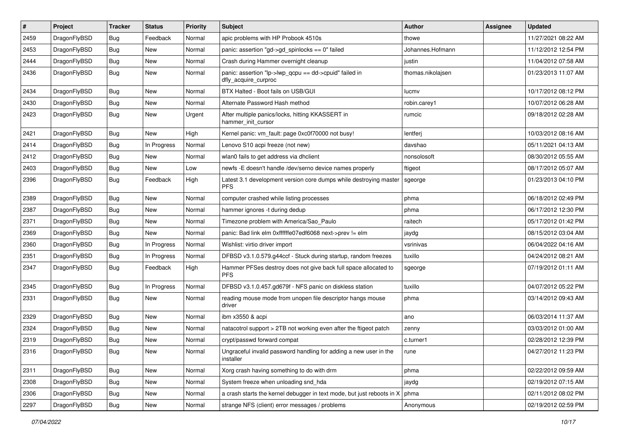| $\vert$ # | Project      | <b>Tracker</b> | <b>Status</b> | <b>Priority</b> | <b>Subject</b>                                                                  | <b>Author</b>     | Assignee | <b>Updated</b>      |
|-----------|--------------|----------------|---------------|-----------------|---------------------------------------------------------------------------------|-------------------|----------|---------------------|
| 2459      | DragonFlyBSD | <b>Bug</b>     | Feedback      | Normal          | apic problems with HP Probook 4510s                                             | thowe             |          | 11/27/2021 08:22 AM |
| 2453      | DragonFlyBSD | <b>Bug</b>     | <b>New</b>    | Normal          | panic: assertion "gd->gd_spinlocks == 0" failed                                 | Johannes.Hofmann  |          | 11/12/2012 12:54 PM |
| 2444      | DragonFlyBSD | <b>Bug</b>     | <b>New</b>    | Normal          | Crash during Hammer overnight cleanup                                           | justin            |          | 11/04/2012 07:58 AM |
| 2436      | DragonFlyBSD | Bug            | New           | Normal          | panic: assertion "lp->lwp_qcpu == dd->cpuid" failed in<br>dfly_acquire_curproc  | thomas.nikolajsen |          | 01/23/2013 11:07 AM |
| 2434      | DragonFlyBSD | <b>Bug</b>     | <b>New</b>    | Normal          | BTX Halted - Boot fails on USB/GUI                                              | lucmv             |          | 10/17/2012 08:12 PM |
| 2430      | DragonFlyBSD | Bug            | <b>New</b>    | Normal          | Alternate Password Hash method                                                  | robin.carey1      |          | 10/07/2012 06:28 AM |
| 2423      | DragonFlyBSD | Bug            | New           | Urgent          | After multiple panics/locks, hitting KKASSERT in<br>hammer_init_cursor          | rumcic            |          | 09/18/2012 02:28 AM |
| 2421      | DragonFlyBSD | <b>Bug</b>     | <b>New</b>    | High            | Kernel panic: vm_fault: page 0xc0f70000 not busy!                               | lentferj          |          | 10/03/2012 08:16 AM |
| 2414      | DragonFlyBSD | <b>Bug</b>     | In Progress   | Normal          | Lenovo S10 acpi freeze (not new)                                                | davshao           |          | 05/11/2021 04:13 AM |
| 2412      | DragonFlyBSD | Bug            | <b>New</b>    | Normal          | wlan0 fails to get address via dhclient                                         | nonsolosoft       |          | 08/30/2012 05:55 AM |
| 2403      | DragonFlyBSD | <b>Bug</b>     | New           | Low             | newfs -E doesn't handle /dev/serno device names properly                        | ftigeot           |          | 08/17/2012 05:07 AM |
| 2396      | DragonFlyBSD | Bug            | Feedback      | High            | Latest 3.1 development version core dumps while destroying master<br><b>PFS</b> | sgeorge           |          | 01/23/2013 04:10 PM |
| 2389      | DragonFlyBSD | <b>Bug</b>     | <b>New</b>    | Normal          | computer crashed while listing processes                                        | phma              |          | 06/18/2012 02:49 PM |
| 2387      | DragonFlyBSD | Bug            | <b>New</b>    | Normal          | hammer ignores -t during dedup                                                  | phma              |          | 06/17/2012 12:30 PM |
| 2371      | DragonFlyBSD | Bug            | <b>New</b>    | Normal          | Timezone problem with America/Sao Paulo                                         | raitech           |          | 05/17/2012 01:42 PM |
| 2369      | DragonFlyBSD | Bug            | <b>New</b>    | Normal          | panic: Bad link elm 0xffffffe07edf6068 next->prev != elm                        | jaydg             |          | 08/15/2012 03:04 AM |
| 2360      | DragonFlyBSD | Bug            | In Progress   | Normal          | Wishlist: virtio driver import                                                  | vsrinivas         |          | 06/04/2022 04:16 AM |
| 2351      | DragonFlyBSD | <b>Bug</b>     | In Progress   | Normal          | DFBSD v3.1.0.579.g44ccf - Stuck during startup, random freezes                  | tuxillo           |          | 04/24/2012 08:21 AM |
| 2347      | DragonFlyBSD | Bug            | Feedback      | High            | Hammer PFSes destroy does not give back full space allocated to<br><b>PFS</b>   | sgeorge           |          | 07/19/2012 01:11 AM |
| 2345      | DragonFlyBSD | <b>Bug</b>     | In Progress   | Normal          | DFBSD v3.1.0.457.gd679f - NFS panic on diskless station                         | tuxillo           |          | 04/07/2012 05:22 PM |
| 2331      | DragonFlyBSD | Bug            | <b>New</b>    | Normal          | reading mouse mode from unopen file descriptor hangs mouse<br>driver            | phma              |          | 03/14/2012 09:43 AM |
| 2329      | DragonFlyBSD | <b>Bug</b>     | <b>New</b>    | Normal          | ibm x3550 & acpi                                                                | ano               |          | 06/03/2014 11:37 AM |
| 2324      | DragonFlyBSD | Bug            | <b>New</b>    | Normal          | natacotrol support > 2TB not working even after the ftigeot patch               | zenny             |          | 03/03/2012 01:00 AM |
| 2319      | DragonFlyBSD | <b>Bug</b>     | <b>New</b>    | Normal          | crypt/passwd forward compat                                                     | c.turner1         |          | 02/28/2012 12:39 PM |
| 2316      | DragonFlyBSD | Bug            | New           | Normal          | Ungraceful invalid password handling for adding a new user in the<br>installer  | rune              |          | 04/27/2012 11:23 PM |
| 2311      | DragonFlyBSD | <b>Bug</b>     | New           | Normal          | Xorg crash having something to do with drm                                      | phma              |          | 02/22/2012 09:59 AM |
| 2308      | DragonFlyBSD | <b>Bug</b>     | New           | Normal          | System freeze when unloading snd_hda                                            | jaydg             |          | 02/19/2012 07:15 AM |
| 2306      | DragonFlyBSD | Bug            | New           | Normal          | a crash starts the kernel debugger in text mode, but just reboots in X          | phma              |          | 02/11/2012 08:02 PM |
| 2297      | DragonFlyBSD | Bug            | New           | Normal          | strange NFS (client) error messages / problems                                  | Anonymous         |          | 02/19/2012 02:59 PM |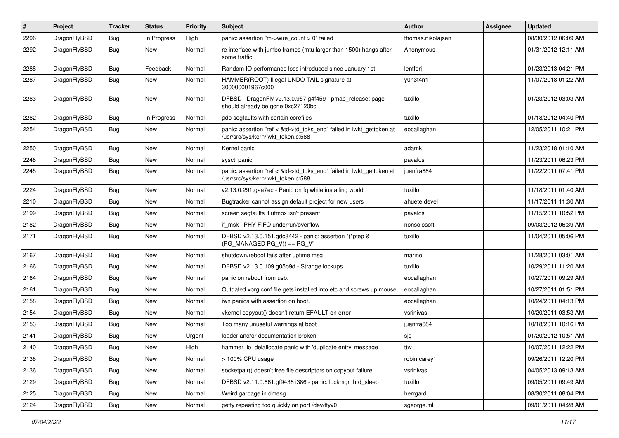| $\sharp$ | Project      | <b>Tracker</b> | <b>Status</b> | <b>Priority</b> | Subject                                                                                                    | <b>Author</b>     | Assignee | <b>Updated</b>      |
|----------|--------------|----------------|---------------|-----------------|------------------------------------------------------------------------------------------------------------|-------------------|----------|---------------------|
| 2296     | DragonFlyBSD | <b>Bug</b>     | In Progress   | High            | panic: assertion "m->wire count > 0" failed                                                                | thomas.nikolajsen |          | 08/30/2012 06:09 AM |
| 2292     | DragonFlyBSD | <b>Bug</b>     | New           | Normal          | re interface with jumbo frames (mtu larger than 1500) hangs after<br>some traffic                          | Anonymous         |          | 01/31/2012 12:11 AM |
| 2288     | DragonFlyBSD | <b>Bug</b>     | Feedback      | Normal          | Random IO performance loss introduced since January 1st                                                    | lentferj          |          | 01/23/2013 04:21 PM |
| 2287     | DragonFlyBSD | <b>Bug</b>     | New           | Normal          | HAMMER(ROOT) Illegal UNDO TAIL signature at<br>300000001967c000                                            | y0n3t4n1          |          | 11/07/2018 01:22 AM |
| 2283     | DragonFlyBSD | Bug            | New           | Normal          | DFBSD DragonFly v2.13.0.957.g4f459 - pmap_release: page<br>should already be gone 0xc27120bc               | tuxillo           |          | 01/23/2012 03:03 AM |
| 2282     | DragonFlyBSD | <b>Bug</b>     | In Progress   | Normal          | gdb segfaults with certain corefiles                                                                       | tuxillo           |          | 01/18/2012 04:40 PM |
| 2254     | DragonFlyBSD | <b>Bug</b>     | New           | Normal          | panic: assertion "ref < &td->td_toks_end" failed in lwkt_gettoken at<br>/usr/src/sys/kern/lwkt_token.c:588 | eocallaghan       |          | 12/05/2011 10:21 PM |
| 2250     | DragonFlyBSD | <b>Bug</b>     | <b>New</b>    | Normal          | Kernel panic                                                                                               | adamk             |          | 11/23/2018 01:10 AM |
| 2248     | DragonFlyBSD | <b>Bug</b>     | New           | Normal          | sysctl panic                                                                                               | pavalos           |          | 11/23/2011 06:23 PM |
| 2245     | DragonFlyBSD | Bug            | New           | Normal          | panic: assertion "ref < &td->td_toks_end" failed in lwkt_gettoken at<br>/usr/src/sys/kern/lwkt_token.c:588 | iuanfra684        |          | 11/22/2011 07:41 PM |
| 2224     | DragonFlyBSD | Bug            | <b>New</b>    | Normal          | v2.13.0.291.gaa7ec - Panic on fq while installing world                                                    | tuxillo           |          | 11/18/2011 01:40 AM |
| 2210     | DragonFlyBSD | Bug            | <b>New</b>    | Normal          | Bugtracker cannot assign default project for new users                                                     | ahuete.devel      |          | 11/17/2011 11:30 AM |
| 2199     | DragonFlyBSD | Bug            | <b>New</b>    | Normal          | screen segfaults if utmpx isn't present                                                                    | pavalos           |          | 11/15/2011 10:52 PM |
| 2182     | DragonFlyBSD | Bug            | New           | Normal          | if msk PHY FIFO underrun/overflow                                                                          | nonsolosoft       |          | 09/03/2012 06:39 AM |
| 2171     | DragonFlyBSD | Bug            | New           | Normal          | DFBSD v2.13.0.151.gdc8442 - panic: assertion "(*ptep &<br>$(PG_MANAGED PG_V)) == PG_V"$                    | tuxillo           |          | 11/04/2011 05:06 PM |
| 2167     | DragonFlyBSD | Bug            | New           | Normal          | shutdown/reboot fails after uptime msg                                                                     | marino            |          | 11/28/2011 03:01 AM |
| 2166     | DragonFlyBSD | Bug            | New           | Normal          | DFBSD v2.13.0.109.g05b9d - Strange lockups                                                                 | tuxillo           |          | 10/29/2011 11:20 AM |
| 2164     | DragonFlyBSD | Bug            | New           | Normal          | panic on reboot from usb.                                                                                  | eocallaghan       |          | 10/27/2011 09:29 AM |
| 2161     | DragonFlyBSD | Bug            | <b>New</b>    | Normal          | Outdated xorg.conf file gets installed into etc and screws up mouse                                        | eocallaghan       |          | 10/27/2011 01:51 PM |
| 2158     | DragonFlyBSD | Bug            | New           | Normal          | iwn panics with assertion on boot.                                                                         | eocallaghan       |          | 10/24/2011 04:13 PM |
| 2154     | DragonFlyBSD | Bug            | <b>New</b>    | Normal          | vkernel copyout() doesn't return EFAULT on error                                                           | vsrinivas         |          | 10/20/2011 03:53 AM |
| 2153     | DragonFlyBSD | Bug            | New           | Normal          | Too many unuseful warnings at boot                                                                         | juanfra684        |          | 10/18/2011 10:16 PM |
| 2141     | DragonFlyBSD | Bug            | <b>New</b>    | Urgent          | loader and/or documentation broken                                                                         | sjg               |          | 01/20/2012 10:51 AM |
| 2140     | DragonFlvBSD | Bug            | <b>New</b>    | High            | hammer io delallocate panic with 'duplicate entry' message                                                 | ttw               |          | 10/07/2011 12:22 PM |
| 2138     | DragonFlyBSD | Bug            | New           | Normal          | > 100% CPU usage                                                                                           | robin.carey1      |          | 09/26/2011 12:20 PM |
| 2136     | DragonFlyBSD | Bug            | New           | Normal          | socketpair() doesn't free file descriptors on copyout failure                                              | vsrinivas         |          | 04/05/2013 09:13 AM |
| 2129     | DragonFlyBSD | <b>Bug</b>     | New           | Normal          | DFBSD v2.11.0.661.gf9438 i386 - panic: lockmgr thrd_sleep                                                  | tuxillo           |          | 09/05/2011 09:49 AM |
| 2125     | DragonFlyBSD | Bug            | <b>New</b>    | Normal          | Weird garbage in dmesg                                                                                     | herrgard          |          | 08/30/2011 08:04 PM |
| 2124     | DragonFlyBSD | <b>Bug</b>     | New           | Normal          | getty repeating too quickly on port /dev/ttyv0                                                             | sgeorge.ml        |          | 09/01/2011 04:28 AM |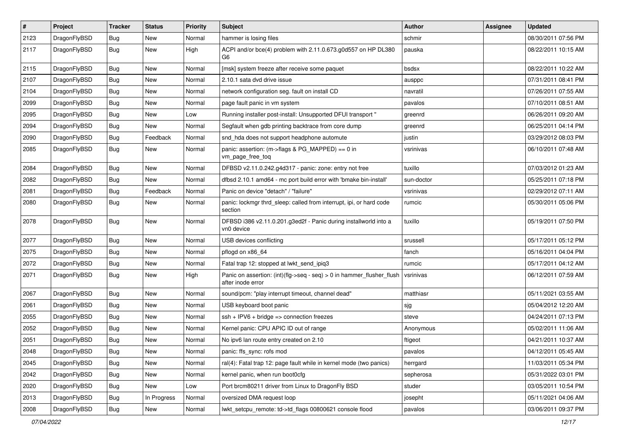| $\pmb{\#}$ | Project      | <b>Tracker</b> | <b>Status</b> | <b>Priority</b> | Subject                                                                                    | Author     | Assignee | <b>Updated</b>      |
|------------|--------------|----------------|---------------|-----------------|--------------------------------------------------------------------------------------------|------------|----------|---------------------|
| 2123       | DragonFlyBSD | <b>Bug</b>     | New           | Normal          | hammer is losing files                                                                     | schmir     |          | 08/30/2011 07:56 PM |
| 2117       | DragonFlyBSD | Bug            | New           | High            | ACPI and/or bce(4) problem with 2.11.0.673.g0d557 on HP DL380<br>G <sub>6</sub>            | pauska     |          | 08/22/2011 10:15 AM |
| 2115       | DragonFlyBSD | Bug            | New           | Normal          | [msk] system freeze after receive some paquet                                              | bsdsx      |          | 08/22/2011 10:22 AM |
| 2107       | DragonFlyBSD | Bug            | <b>New</b>    | Normal          | 2.10.1 sata dvd drive issue                                                                | ausppc     |          | 07/31/2011 08:41 PM |
| 2104       | DragonFlyBSD | <b>Bug</b>     | New           | Normal          | network configuration seg. fault on install CD                                             | navratil   |          | 07/26/2011 07:55 AM |
| 2099       | DragonFlyBSD | Bug            | New           | Normal          | page fault panic in vm system                                                              | pavalos    |          | 07/10/2011 08:51 AM |
| 2095       | DragonFlyBSD | Bug            | New           | Low             | Running installer post-install: Unsupported DFUI transport "                               | greenrd    |          | 06/26/2011 09:20 AM |
| 2094       | DragonFlyBSD | Bug            | New           | Normal          | Segfault when gdb printing backtrace from core dump                                        | greenrd    |          | 06/25/2011 04:14 PM |
| 2090       | DragonFlyBSD | Bug            | Feedback      | Normal          | snd_hda does not support headphone automute                                                | justin     |          | 03/29/2012 08:03 PM |
| 2085       | DragonFlyBSD | <b>Bug</b>     | New           | Normal          | panic: assertion: (m->flags & PG_MAPPED) == 0 in<br>vm_page_free_toq                       | vsrinivas  |          | 06/10/2011 07:48 AM |
| 2084       | DragonFlyBSD | <b>Bug</b>     | <b>New</b>    | Normal          | DFBSD v2.11.0.242.g4d317 - panic: zone: entry not free                                     | tuxillo    |          | 07/03/2012 01:23 AM |
| 2082       | DragonFlyBSD | <b>Bug</b>     | New           | Normal          | dfbsd 2.10.1 amd64 - mc port build error with 'bmake bin-install'                          | sun-doctor |          | 05/25/2011 07:18 PM |
| 2081       | DragonFlyBSD | <b>Bug</b>     | Feedback      | Normal          | Panic on device "detach" / "failure"                                                       | vsrinivas  |          | 02/29/2012 07:11 AM |
| 2080       | DragonFlyBSD | <b>Bug</b>     | New           | Normal          | panic: lockmgr thrd_sleep: called from interrupt, ipi, or hard code<br>section             | rumcic     |          | 05/30/2011 05:06 PM |
| 2078       | DragonFlyBSD | Bug            | <b>New</b>    | Normal          | DFBSD i386 v2.11.0.201.g3ed2f - Panic during installworld into a<br>vn0 device             | tuxillo    |          | 05/19/2011 07:50 PM |
| 2077       | DragonFlyBSD | Bug            | New           | Normal          | USB devices conflicting                                                                    | srussell   |          | 05/17/2011 05:12 PM |
| 2075       | DragonFlyBSD | <b>Bug</b>     | <b>New</b>    | Normal          | pflogd on x86 64                                                                           | fanch      |          | 05/16/2011 04:04 PM |
| 2072       | DragonFlyBSD | Bug            | New           | Normal          | Fatal trap 12: stopped at lwkt_send_ipiq3                                                  | rumcic     |          | 05/17/2011 04:12 AM |
| 2071       | DragonFlyBSD | <b>Bug</b>     | New           | High            | Panic on assertion: (int)(flg->seq - seq) > 0 in hammer_flusher_flush<br>after inode error | vsrinivas  |          | 06/12/2011 07:59 AM |
| 2067       | DragonFlyBSD | Bug            | <b>New</b>    | Normal          | sound/pcm: "play interrupt timeout, channel dead"                                          | matthiasr  |          | 05/11/2021 03:55 AM |
| 2061       | DragonFlyBSD | Bug            | <b>New</b>    | Normal          | USB keyboard boot panic                                                                    | sjg        |          | 05/04/2012 12:20 AM |
| 2055       | DragonFlyBSD | Bug            | New           | Normal          | $ssh + IPV6 + bridge \Rightarrow$ connection freezes                                       | steve      |          | 04/24/2011 07:13 PM |
| 2052       | DragonFlyBSD | Bug            | New           | Normal          | Kernel panic: CPU APIC ID out of range                                                     | Anonymous  |          | 05/02/2011 11:06 AM |
| 2051       | DragonFlyBSD | Bug            | New           | Normal          | No ipv6 lan route entry created on 2.10                                                    | ftigeot    |          | 04/21/2011 10:37 AM |
| 2048       | DragonFlyBSD | <b>Bug</b>     | New           | Normal          | panic: ffs_sync: rofs mod                                                                  | pavalos    |          | 04/12/2011 05:45 AM |
| 2045       | DragonFlyBSD | Bug            | <b>New</b>    | Normal          | ral(4): Fatal trap 12: page fault while in kernel mode (two panics)                        | herrgard   |          | 11/03/2011 05:34 PM |
| 2042       | DragonFlyBSD | <b>Bug</b>     | New           | Normal          | kernel panic, when run boot0cfg                                                            | sepherosa  |          | 05/31/2022 03:01 PM |
| 2020       | DragonFlyBSD | <b>Bug</b>     | New           | Low             | Port brcm80211 driver from Linux to DragonFly BSD                                          | studer     |          | 03/05/2011 10:54 PM |
| 2013       | DragonFlyBSD | Bug            | In Progress   | Normal          | oversized DMA request loop                                                                 | josepht    |          | 05/11/2021 04:06 AM |
| 2008       | DragonFlyBSD | Bug            | New           | Normal          | lwkt_setcpu_remote: td->td_flags 00800621 console flood                                    | pavalos    |          | 03/06/2011 09:37 PM |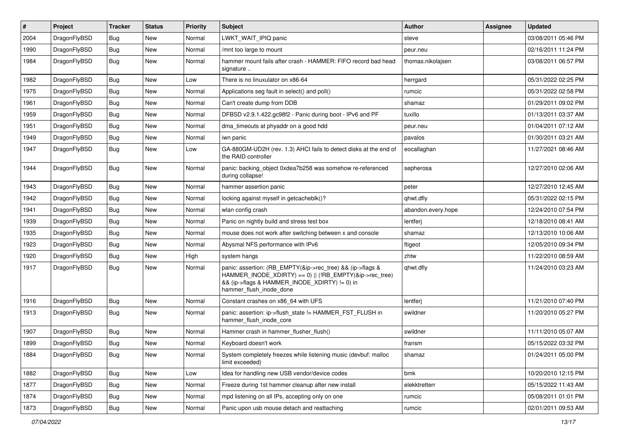| $\vert$ # | Project      | <b>Tracker</b> | <b>Status</b> | <b>Priority</b> | <b>Subject</b>                                                                                                                                                                                    | Author             | <b>Assignee</b> | <b>Updated</b>      |
|-----------|--------------|----------------|---------------|-----------------|---------------------------------------------------------------------------------------------------------------------------------------------------------------------------------------------------|--------------------|-----------------|---------------------|
| 2004      | DragonFlyBSD | <b>Bug</b>     | <b>New</b>    | Normal          | LWKT_WAIT_IPIQ panic                                                                                                                                                                              | steve              |                 | 03/08/2011 05:46 PM |
| 1990      | DragonFlyBSD | Bug            | <b>New</b>    | Normal          | /mnt too large to mount                                                                                                                                                                           | peur.neu           |                 | 02/16/2011 11:24 PM |
| 1984      | DragonFlyBSD | Bug            | New           | Normal          | hammer mount fails after crash - HAMMER: FIFO record bad head<br>signature                                                                                                                        | thomas.nikolajsen  |                 | 03/08/2011 06:57 PM |
| 1982      | DragonFlyBSD | Bug            | <b>New</b>    | Low             | There is no linuxulator on x86-64                                                                                                                                                                 | herrgard           |                 | 05/31/2022 02:25 PM |
| 1975      | DragonFlyBSD | <b>Bug</b>     | New           | Normal          | Applications seg fault in select() and poll()                                                                                                                                                     | rumcic             |                 | 05/31/2022 02:58 PM |
| 1961      | DragonFlyBSD | Bug            | <b>New</b>    | Normal          | Can't create dump from DDB                                                                                                                                                                        | shamaz             |                 | 01/29/2011 09:02 PM |
| 1959      | DragonFlyBSD | <b>Bug</b>     | New           | Normal          | DFBSD v2.9.1.422.gc98f2 - Panic during boot - IPv6 and PF                                                                                                                                         | tuxillo            |                 | 01/13/2011 03:37 AM |
| 1951      | DragonFlyBSD | <b>Bug</b>     | New           | Normal          | dma timeouts at phyaddr on a good hdd                                                                                                                                                             | peur.neu           |                 | 01/04/2011 07:12 AM |
| 1949      | DragonFlyBSD | <b>Bug</b>     | <b>New</b>    | Normal          | iwn panic                                                                                                                                                                                         | pavalos            |                 | 01/30/2011 03:21 AM |
| 1947      | DragonFlyBSD | Bug            | New           | Low             | GA-880GM-UD2H (rev. 1.3) AHCI fails to detect disks at the end of<br>the RAID controller                                                                                                          | eocallaghan        |                 | 11/27/2021 08:46 AM |
| 1944      | DragonFlyBSD | Bug            | <b>New</b>    | Normal          | panic: backing object 0xdea7b258 was somehow re-referenced<br>during collapse!                                                                                                                    | sepherosa          |                 | 12/27/2010 02:06 AM |
| 1943      | DragonFlyBSD | Bug            | <b>New</b>    | Normal          | hammer assertion panic                                                                                                                                                                            | peter              |                 | 12/27/2010 12:45 AM |
| 1942      | DragonFlyBSD | <b>Bug</b>     | New           | Normal          | locking against myself in getcacheblk()?                                                                                                                                                          | qhwt.dfly          |                 | 05/31/2022 02:15 PM |
| 1941      | DragonFlyBSD | <b>Bug</b>     | New           | Normal          | wlan config crash                                                                                                                                                                                 | abandon.every.hope |                 | 12/24/2010 07:54 PM |
| 1939      | DragonFlyBSD | Bug            | <b>New</b>    | Normal          | Panic on nightly build and stress test box                                                                                                                                                        | lentferj           |                 | 12/18/2010 08:41 AM |
| 1935      | DragonFlyBSD | <b>Bug</b>     | New           | Normal          | mouse does not work after switching between x and console                                                                                                                                         | shamaz             |                 | 12/13/2010 10:06 AM |
| 1923      | DragonFlyBSD | Bug            | <b>New</b>    | Normal          | Abysmal NFS performance with IPv6                                                                                                                                                                 | ftigeot            |                 | 12/05/2010 09:34 PM |
| 1920      | DragonFlyBSD | <b>Bug</b>     | New           | High            | system hangs                                                                                                                                                                                      | zhtw               |                 | 11/22/2010 08:59 AM |
| 1917      | DragonFlyBSD | Bug            | New           | Normal          | panic: assertion: (RB_EMPTY(&ip->rec_tree) && (ip->flags &<br>HAMMER_INODE_XDIRTY) == 0)    (!RB_EMPTY(&ip->rec_tree)<br>&& (ip->flags & HAMMER_INODE_XDIRTY) != 0) in<br>hammer_flush_inode_done | qhwt.dfly          |                 | 11/24/2010 03:23 AM |
| 1916      | DragonFlyBSD | <b>Bug</b>     | <b>New</b>    | Normal          | Constant crashes on x86_64 with UFS                                                                                                                                                               | lentferj           |                 | 11/21/2010 07:40 PM |
| 1913      | DragonFlyBSD | <b>Bug</b>     | New           | Normal          | panic: assertion: ip->flush_state != HAMMER_FST_FLUSH in<br>hammer_flush_inode_core                                                                                                               | swildner           |                 | 11/20/2010 05:27 PM |
| 1907      | DragonFlyBSD | <b>Bug</b>     | <b>New</b>    | Normal          | Hammer crash in hammer_flusher_flush()                                                                                                                                                            | swildner           |                 | 11/11/2010 05:07 AM |
| 1899      | DragonFlyBSD | <b>Bug</b>     | New           | Normal          | Keyboard doesn't work                                                                                                                                                                             | fransm             |                 | 05/15/2022 03:32 PM |
| 1884      | DragonFlyBSD | Bug            | New           | Normal          | System completely freezes while listening music (devbuf: malloc<br>limit exceeded)                                                                                                                | shamaz             |                 | 01/24/2011 05:00 PM |
| 1882      | DragonFlyBSD | <b>Bug</b>     | New           | Low             | Idea for handling new USB vendor/device codes                                                                                                                                                     | bmk                |                 | 10/20/2010 12:15 PM |
| 1877      | DragonFlyBSD | Bug            | New           | Normal          | Freeze during 1st hammer cleanup after new install                                                                                                                                                | elekktretterr      |                 | 05/15/2022 11:43 AM |
| 1874      | DragonFlyBSD | <b>Bug</b>     | New           | Normal          | mpd listening on all IPs, accepting only on one                                                                                                                                                   | rumcic             |                 | 05/08/2011 01:01 PM |
| 1873      | DragonFlyBSD | Bug            | New           | Normal          | Panic upon usb mouse detach and reattaching                                                                                                                                                       | rumcic             |                 | 02/01/2011 09:53 AM |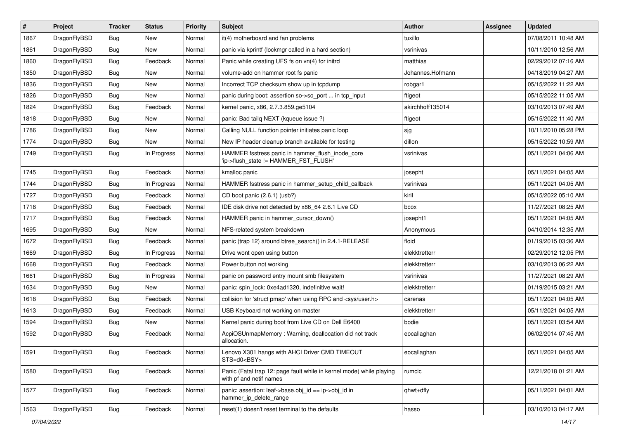| $\sharp$ | Project      | <b>Tracker</b> | <b>Status</b> | <b>Priority</b> | Subject                                                                                         | <b>Author</b>    | Assignee | <b>Updated</b>      |
|----------|--------------|----------------|---------------|-----------------|-------------------------------------------------------------------------------------------------|------------------|----------|---------------------|
| 1867     | DragonFlyBSD | Bug            | New           | Normal          | it(4) motherboard and fan problems                                                              | tuxillo          |          | 07/08/2011 10:48 AM |
| 1861     | DragonFlyBSD | Bug            | New           | Normal          | panic via kprintf (lockmgr called in a hard section)                                            | vsrinivas        |          | 10/11/2010 12:56 AM |
| 1860     | DragonFlyBSD | <b>Bug</b>     | Feedback      | Normal          | Panic while creating UFS fs on vn(4) for initrd                                                 | matthias         |          | 02/29/2012 07:16 AM |
| 1850     | DragonFlyBSD | Bug            | New           | Normal          | volume-add on hammer root fs panic                                                              | Johannes.Hofmann |          | 04/18/2019 04:27 AM |
| 1836     | DragonFlyBSD | Bug            | New           | Normal          | Incorrect TCP checksum show up in tcpdump                                                       | robgar1          |          | 05/15/2022 11:22 AM |
| 1826     | DragonFlyBSD | Bug            | New           | Normal          | panic during boot: assertion so->so_port  in tcp_input                                          | ftigeot          |          | 05/15/2022 11:05 AM |
| 1824     | DragonFlyBSD | Bug            | Feedback      | Normal          | kernel panic, x86, 2.7.3.859.ge5104                                                             | akirchhoff135014 |          | 03/10/2013 07:49 AM |
| 1818     | DragonFlyBSD | Bug            | New           | Normal          | panic: Bad tailq NEXT (kqueue issue ?)                                                          | ftigeot          |          | 05/15/2022 11:40 AM |
| 1786     | DragonFlyBSD | Bug            | New           | Normal          | Calling NULL function pointer initiates panic loop                                              | sjg              |          | 10/11/2010 05:28 PM |
| 1774     | DragonFlyBSD | Bug            | New           | Normal          | New IP header cleanup branch available for testing                                              | dillon           |          | 05/15/2022 10:59 AM |
| 1749     | DragonFlyBSD | <b>Bug</b>     | In Progress   | Normal          | HAMMER fsstress panic in hammer_flush_inode_core<br>'ip->flush_state != HAMMER_FST_FLUSH'       | vsrinivas        |          | 05/11/2021 04:06 AM |
| 1745     | DragonFlyBSD | Bug            | Feedback      | Normal          | kmalloc panic                                                                                   | josepht          |          | 05/11/2021 04:05 AM |
| 1744     | DragonFlyBSD | Bug            | In Progress   | Normal          | HAMMER fsstress panic in hammer_setup_child_callback                                            | vsrinivas        |          | 05/11/2021 04:05 AM |
| 1727     | DragonFlyBSD | Bug            | Feedback      | Normal          | CD boot panic (2.6.1) (usb?)                                                                    | kiril            |          | 05/15/2022 05:10 AM |
| 1718     | DragonFlyBSD | <b>Bug</b>     | Feedback      | Normal          | IDE disk drive not detected by x86_64 2.6.1 Live CD                                             | bcox             |          | 11/27/2021 08:25 AM |
| 1717     | DragonFlyBSD | <b>Bug</b>     | Feedback      | Normal          | HAMMER panic in hammer cursor down()                                                            | josepht1         |          | 05/11/2021 04:05 AM |
| 1695     | DragonFlyBSD | <b>Bug</b>     | New           | Normal          | NFS-related system breakdown                                                                    | Anonymous        |          | 04/10/2014 12:35 AM |
| 1672     | DragonFlyBSD | <b>Bug</b>     | Feedback      | Normal          | panic (trap 12) around btree search() in 2.4.1-RELEASE                                          | floid            |          | 01/19/2015 03:36 AM |
| 1669     | DragonFlyBSD | <b>Bug</b>     | In Progress   | Normal          | Drive wont open using button                                                                    | elekktretterr    |          | 02/29/2012 12:05 PM |
| 1668     | DragonFlyBSD | <b>Bug</b>     | Feedback      | Normal          | Power button not working                                                                        | elekktretterr    |          | 03/10/2013 06:22 AM |
| 1661     | DragonFlyBSD | <b>Bug</b>     | In Progress   | Normal          | panic on password entry mount smb filesystem                                                    | vsrinivas        |          | 11/27/2021 08:29 AM |
| 1634     | DragonFlyBSD | Bug            | New           | Normal          | panic: spin_lock: 0xe4ad1320, indefinitive wait!                                                | elekktretterr    |          | 01/19/2015 03:21 AM |
| 1618     | DragonFlyBSD | <b>Bug</b>     | Feedback      | Normal          | collision for 'struct pmap' when using RPC and <sys user.h=""></sys>                            | carenas          |          | 05/11/2021 04:05 AM |
| 1613     | DragonFlyBSD | <b>Bug</b>     | Feedback      | Normal          | USB Keyboard not working on master                                                              | elekktretterr    |          | 05/11/2021 04:05 AM |
| 1594     | DragonFlyBSD | Bug            | New           | Normal          | Kernel panic during boot from Live CD on Dell E6400                                             | bodie            |          | 05/11/2021 03:54 AM |
| 1592     | DragonFlyBSD | <b>Bug</b>     | Feedback      | Normal          | AcpiOSUnmapMemory: Warning, deallocation did not track<br>allocation.                           | eocallaghan      |          | 06/02/2014 07:45 AM |
| 1591     | DragonFlyBSD | <b>Bug</b>     | Feedback      | Normal          | Lenovo X301 hangs with AHCI Driver CMD TIMEOUT<br>STS=d0 <bsy></bsy>                            | eocallaghan      |          | 05/11/2021 04:05 AM |
| 1580     | DragonFlyBSD | <b>Bug</b>     | Feedback      | Normal          | Panic (Fatal trap 12: page fault while in kernel mode) while playing<br>with pf and netif names | rumcic           |          | 12/21/2018 01:21 AM |
| 1577     | DragonFlyBSD | <b>Bug</b>     | Feedback      | Normal          | panic: assertion: leaf->base.obj_id == ip->obj_id in<br>hammer_ip_delete_range                  | qhwt+dfly        |          | 05/11/2021 04:01 AM |
| 1563     | DragonFlyBSD | Bug            | Feedback      | Normal          | reset(1) doesn't reset terminal to the defaults                                                 | hasso            |          | 03/10/2013 04:17 AM |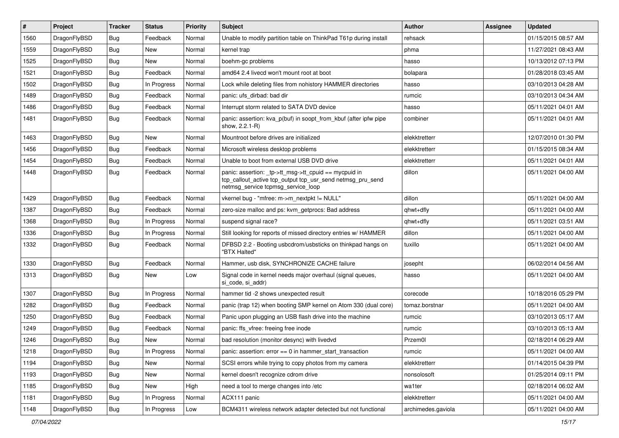| #    | Project      | <b>Tracker</b> | <b>Status</b> | <b>Priority</b> | <b>Subject</b>                                                                                                                                           | <b>Author</b>      | Assignee | <b>Updated</b>      |
|------|--------------|----------------|---------------|-----------------|----------------------------------------------------------------------------------------------------------------------------------------------------------|--------------------|----------|---------------------|
| 1560 | DragonFlyBSD | Bug            | Feedback      | Normal          | Unable to modify partition table on ThinkPad T61p during install                                                                                         | rehsack            |          | 01/15/2015 08:57 AM |
| 1559 | DragonFlyBSD | Bug            | <b>New</b>    | Normal          | kernel trap                                                                                                                                              | phma               |          | 11/27/2021 08:43 AM |
| 1525 | DragonFlyBSD | <b>Bug</b>     | New           | Normal          | boehm-gc problems                                                                                                                                        | hasso              |          | 10/13/2012 07:13 PM |
| 1521 | DragonFlyBSD | <b>Bug</b>     | Feedback      | Normal          | amd64 2.4 livecd won't mount root at boot                                                                                                                | bolapara           |          | 01/28/2018 03:45 AM |
| 1502 | DragonFlyBSD | Bug            | In Progress   | Normal          | Lock while deleting files from nohistory HAMMER directories                                                                                              | hasso              |          | 03/10/2013 04:28 AM |
| 1489 | DragonFlyBSD | <b>Bug</b>     | Feedback      | Normal          | panic: ufs dirbad: bad dir                                                                                                                               | rumcic             |          | 03/10/2013 04:34 AM |
| 1486 | DragonFlyBSD | Bug            | Feedback      | Normal          | Interrupt storm related to SATA DVD device                                                                                                               | hasso              |          | 05/11/2021 04:01 AM |
| 1481 | DragonFlyBSD | Bug            | Feedback      | Normal          | panic: assertion: kva p(buf) in soopt from kbuf (after ipfw pipe<br>show, 2.2.1-R)                                                                       | combiner           |          | 05/11/2021 04:01 AM |
| 1463 | DragonFlyBSD | Bug            | New           | Normal          | Mountroot before drives are initialized                                                                                                                  | elekktretterr      |          | 12/07/2010 01:30 PM |
| 1456 | DragonFlyBSD | Bug            | Feedback      | Normal          | Microsoft wireless desktop problems                                                                                                                      | elekktretterr      |          | 01/15/2015 08:34 AM |
| 1454 | DragonFlyBSD | Bug            | Feedback      | Normal          | Unable to boot from external USB DVD drive                                                                                                               | elekktretterr      |          | 05/11/2021 04:01 AM |
| 1448 | DragonFlyBSD | Bug            | Feedback      | Normal          | panic: assertion: tp->tt_msg->tt_cpuid == mycpuid in<br>tcp_callout_active tcp_output tcp_usr_send netmsg_pru_send<br>netmsg_service tcpmsg_service_loop | dillon             |          | 05/11/2021 04:00 AM |
| 1429 | DragonFlyBSD | Bug            | Feedback      | Normal          | vkernel bug - "mfree: m->m_nextpkt != NULL"                                                                                                              | dillon             |          | 05/11/2021 04:00 AM |
| 1387 | DragonFlyBSD | Bug            | Feedback      | Normal          | zero-size malloc and ps: kvm_getprocs: Bad address                                                                                                       | qhwt+dfly          |          | 05/11/2021 04:00 AM |
| 1368 | DragonFlyBSD | Bug            | In Progress   | Normal          | suspend signal race?                                                                                                                                     | qhwt+dfly          |          | 05/11/2021 03:51 AM |
| 1336 | DragonFlyBSD | Bug            | In Progress   | Normal          | Still looking for reports of missed directory entries w/ HAMMER                                                                                          | dillon             |          | 05/11/2021 04:00 AM |
| 1332 | DragonFlyBSD | Bug            | Feedback      | Normal          | DFBSD 2.2 - Booting usbcdrom/usbsticks on thinkpad hangs on<br>"BTX Halted"                                                                              | tuxillo            |          | 05/11/2021 04:00 AM |
| 1330 | DragonFlyBSD | Bug            | Feedback      | Normal          | Hammer, usb disk, SYNCHRONIZE CACHE failure                                                                                                              | josepht            |          | 06/02/2014 04:56 AM |
| 1313 | DragonFlyBSD | Bug            | <b>New</b>    | Low             | Signal code in kernel needs major overhaul (signal queues,<br>si code, si addr)                                                                          | hasso              |          | 05/11/2021 04:00 AM |
| 1307 | DragonFlyBSD | Bug            | In Progress   | Normal          | hammer tid -2 shows unexpected result                                                                                                                    | corecode           |          | 10/18/2016 05:29 PM |
| 1282 | DragonFlyBSD | Bug            | Feedback      | Normal          | panic (trap 12) when booting SMP kernel on Atom 330 (dual core)                                                                                          | tomaz.borstnar     |          | 05/11/2021 04:00 AM |
| 1250 | DragonFlyBSD | <b>Bug</b>     | Feedback      | Normal          | Panic upon plugging an USB flash drive into the machine                                                                                                  | rumcic             |          | 03/10/2013 05:17 AM |
| 1249 | DragonFlyBSD | <b>Bug</b>     | Feedback      | Normal          | panic: ffs_vfree: freeing free inode                                                                                                                     | rumcic             |          | 03/10/2013 05:13 AM |
| 1246 | DragonFlyBSD | <b>Bug</b>     | New           | Normal          | bad resolution (monitor desync) with livedvd                                                                                                             | Przem0l            |          | 02/18/2014 06:29 AM |
| 1218 | DragonFlyBSD | <b>Bug</b>     | In Progress   | Normal          | panic: assertion: error == 0 in hammer_start_transaction                                                                                                 | rumcic             |          | 05/11/2021 04:00 AM |
| 1194 | DragonFlyBSD | <b>Bug</b>     | New           | Normal          | SCSI errors while trying to copy photos from my camera                                                                                                   | elekktretterr      |          | 01/14/2015 04:39 PM |
| 1193 | DragonFlyBSD | <b>Bug</b>     | New           | Normal          | kernel doesn't recognize cdrom drive                                                                                                                     | nonsolosoft        |          | 01/25/2014 09:11 PM |
| 1185 | DragonFlyBSD | <b>Bug</b>     | New           | High            | need a tool to merge changes into /etc                                                                                                                   | wa1ter             |          | 02/18/2014 06:02 AM |
| 1181 | DragonFlyBSD | <b>Bug</b>     | In Progress   | Normal          | ACX111 panic                                                                                                                                             | elekktretterr      |          | 05/11/2021 04:00 AM |
| 1148 | DragonFlyBSD | <b>Bug</b>     | In Progress   | Low             | BCM4311 wireless network adapter detected but not functional                                                                                             | archimedes.gaviola |          | 05/11/2021 04:00 AM |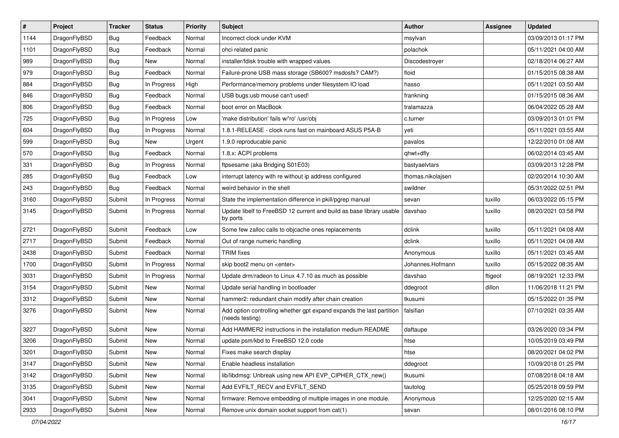| $\pmb{\#}$ | Project      | <b>Tracker</b> | <b>Status</b> | <b>Priority</b> | <b>Subject</b>                                                                          | <b>Author</b>     | <b>Assignee</b> | <b>Updated</b>      |
|------------|--------------|----------------|---------------|-----------------|-----------------------------------------------------------------------------------------|-------------------|-----------------|---------------------|
| 1144       | DragonFlyBSD | Bug            | Feedback      | Normal          | Incorrect clock under KVM                                                               | msylvan           |                 | 03/09/2013 01:17 PM |
| 1101       | DragonFlyBSD | Bug            | Feedback      | Normal          | ohci related panic                                                                      | polachok          |                 | 05/11/2021 04:00 AM |
| 989        | DragonFlyBSD | Bug            | New           | Normal          | installer/fdisk trouble with wrapped values                                             | Discodestroyer    |                 | 02/18/2014 06:27 AM |
| 979        | DragonFlyBSD | Bug            | Feedback      | Normal          | Failure-prone USB mass storage (SB600? msdosfs? CAM?)                                   | floid             |                 | 01/15/2015 08:38 AM |
| 884        | DragonFlyBSD | Bug            | In Progress   | High            | Performance/memory problems under filesystem IO load                                    | hasso             |                 | 05/11/2021 03:50 AM |
| 846        | DragonFlyBSD | <b>Bug</b>     | Feedback      | Normal          | USB bugs:usb mouse can't used!                                                          | frankning         |                 | 01/15/2015 08:36 AM |
| 806        | DragonFlyBSD | Bug            | Feedback      | Normal          | boot error on MacBook                                                                   | tralamazza        |                 | 06/04/2022 05:28 AM |
| 725        | DragonFlyBSD | Bug            | In Progress   | Low             | 'make distribution' fails w/'ro' /usr/obj                                               | c.turner          |                 | 03/09/2013 01:01 PM |
| 604        | DragonFlyBSD | Bug            | In Progress   | Normal          | 1.8.1-RELEASE - clock runs fast on mainboard ASUS P5A-B                                 | yeti              |                 | 05/11/2021 03:55 AM |
| 599        | DragonFlyBSD | Bug            | <b>New</b>    | Urgent          | 1.9.0 reproducable panic                                                                | pavalos           |                 | 12/22/2010 01:08 AM |
| 570        | DragonFlyBSD | Bug            | Feedback      | Normal          | 1.8.x: ACPI problems                                                                    | qhwt+dfly         |                 | 06/02/2014 03:45 AM |
| 331        | DragonFlyBSD | Bug            | In Progress   | Normal          | ftpsesame (aka Bridging S01E03)                                                         | bastyaelvtars     |                 | 03/09/2013 12:28 PM |
| 285        | DragonFlyBSD | Bug            | Feedback      | Low             | interrupt latency with re without ip address configured                                 | thomas.nikolajsen |                 | 02/20/2014 10:30 AM |
| 243        | DragonFlyBSD | Bug            | Feedback      | Normal          | weird behavior in the shell                                                             | swildner          |                 | 05/31/2022 02:51 PM |
| 3160       | DragonFlyBSD | Submit         | In Progress   | Normal          | State the implementation difference in pkill/pgrep manual                               | sevan             | tuxillo         | 06/03/2022 05:15 PM |
| 3145       | DragonFlyBSD | Submit         | In Progress   | Normal          | Update libelf to FreeBSD 12 current and build as base library usable<br>by ports        | davshao           | tuxillo         | 08/20/2021 03:58 PM |
| 2721       | DragonFlyBSD | Submit         | Feedback      | Low             | Some few zalloc calls to objcache ones replacements                                     | dclink            | tuxillo         | 05/11/2021 04:08 AM |
| 2717       | DragonFlyBSD | Submit         | Feedback      | Normal          | Out of range numeric handling                                                           | dclink            | tuxillo         | 05/11/2021 04:08 AM |
| 2438       | DragonFlyBSD | Submit         | Feedback      | Normal          | <b>TRIM</b> fixes                                                                       | Anonymous         | tuxillo         | 05/11/2021 03:45 AM |
| 1700       | DragonFlyBSD | Submit         | In Progress   | Normal          | skip boot2 menu on <enter></enter>                                                      | Johannes.Hofmann  | tuxillo         | 05/15/2022 08:35 AM |
| 3031       | DragonFlyBSD | Submit         | In Progress   | Normal          | Update drm/radeon to Linux 4.7.10 as much as possible                                   | davshao           | ftigeot         | 08/19/2021 12:33 PM |
| 3154       | DragonFlyBSD | Submit         | <b>New</b>    | Normal          | Update serial handling in bootloader                                                    | ddegroot          | dillon          | 11/06/2018 11:21 PM |
| 3312       | DragonFlyBSD | Submit         | <b>New</b>    | Normal          | hammer2: redundant chain modify after chain creation                                    | tkusumi           |                 | 05/15/2022 01:35 PM |
| 3276       | DragonFlyBSD | Submit         | New           | Normal          | Add option controlling whether gpt expand expands the last partition<br>(needs testing) | falsifian         |                 | 07/10/2021 03:35 AM |
| 3227       | DragonFlyBSD | Submit         | <b>New</b>    | Normal          | Add HAMMER2 instructions in the installation medium README                              | daftaupe          |                 | 03/26/2020 03:34 PM |
| 3206       | DragonFlyBSD | Submit         | <b>New</b>    | Normal          | update psm/kbd to FreeBSD 12.0 code                                                     | htse              |                 | 10/05/2019 03:49 PM |
| 3201       | DragonFlyBSD | Submit         | New           | Normal          | Fixes make search display                                                               | htse              |                 | 08/20/2021 04:02 PM |
| 3147       | DragonFlyBSD | Submit         | New           | Normal          | Enable headless installation                                                            | ddegroot          |                 | 10/09/2018 01:25 PM |
| 3142       | DragonFlyBSD | Submit         | New           | Normal          | lib/libdmsg: Unbreak using new API EVP_CIPHER_CTX_new()                                 | tkusumi           |                 | 07/08/2018 04:18 AM |
| 3135       | DragonFlyBSD | Submit         | New           | Normal          | Add EVFILT_RECV and EVFILT_SEND                                                         | tautolog          |                 | 05/25/2018 09:59 PM |
| 3041       | DragonFlyBSD | Submit         | New           | Normal          | firmware: Remove embedding of multiple images in one module.                            | Anonymous         |                 | 12/25/2020 02:15 AM |
| 2933       | DragonFlyBSD | Submit         | New           | Normal          | Remove unix domain socket support from cat(1)                                           | sevan             |                 | 08/01/2016 08:10 PM |